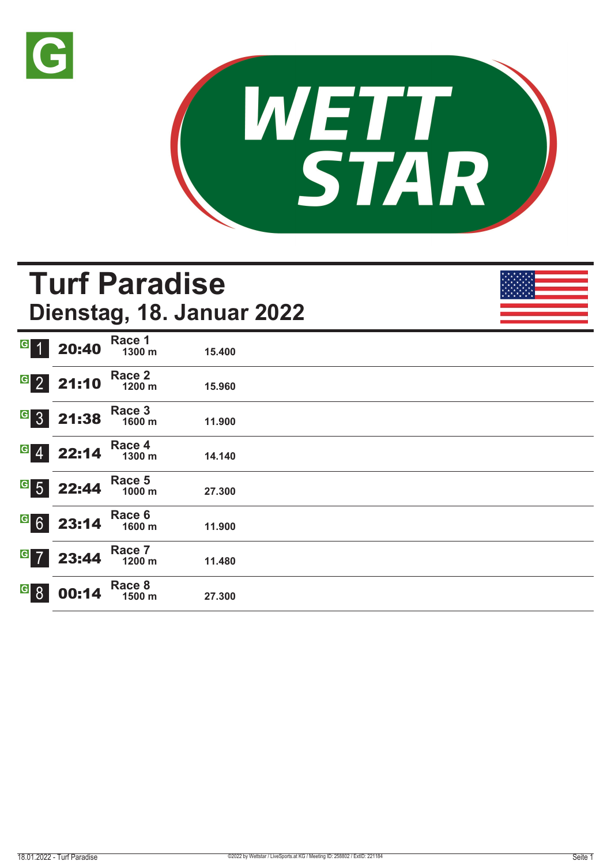



# **Turf Paradise Dienstag, 18. Januar 2022**

| $\overline{G}$<br>$\vert$ 1   | 20:40 | Race 1<br>1300 m | 15.400 |
|-------------------------------|-------|------------------|--------|
| $G$ 2                         | 21:10 | Race 2<br>1200 m | 15.960 |
| $G_{3}$                       | 21:38 | Race 3<br>1600 m | 11.900 |
| $G$ 4                         | 22:14 | Race 4<br>1300 m | 14.140 |
| $G$ 5                         | 22:44 | Race 5<br>1000 m | 27.300 |
| G6                            | 23:14 | Race 6<br>1600 m | 11.900 |
| $G$ 7                         | 23:44 | Race 7<br>1200 m | 11.480 |
| $\overline{G}$ $\overline{8}$ | 00:14 | Race 8<br>1500 m | 27.300 |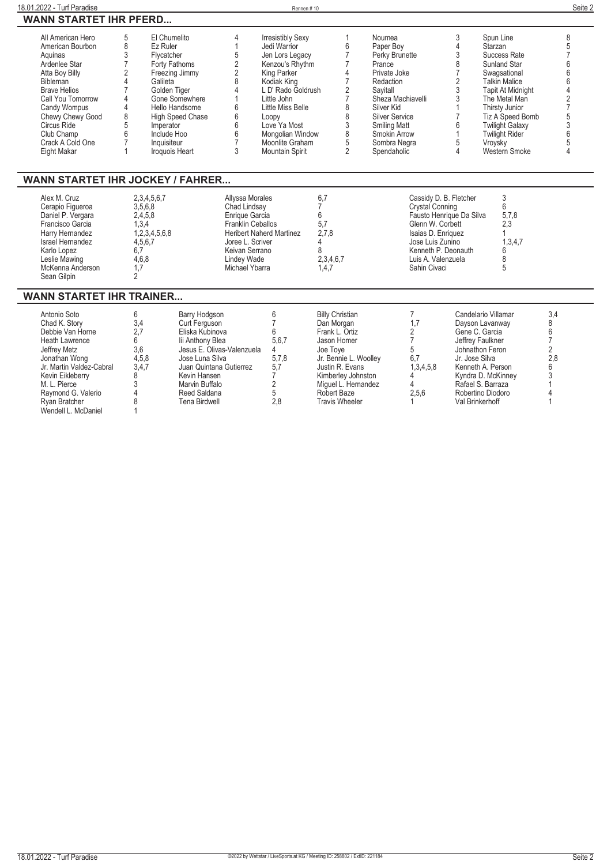| 18.01.2022 - Turf Paradise                                                                                                                                                                                                                             |                                                                                                                                                                                                    |                                                                                                                                                                                                     |                                                                                                                                                                                         | Rennen#10                                                                                                                                                                                                                                                 |                                                                                                                                                                                           |                                                                                                                                                                                                                            |                                                                                                                                            |                                                                                                         |                                                                                                                                                                                                                                                                       | Seite 2                                                                                                            |
|--------------------------------------------------------------------------------------------------------------------------------------------------------------------------------------------------------------------------------------------------------|----------------------------------------------------------------------------------------------------------------------------------------------------------------------------------------------------|-----------------------------------------------------------------------------------------------------------------------------------------------------------------------------------------------------|-----------------------------------------------------------------------------------------------------------------------------------------------------------------------------------------|-----------------------------------------------------------------------------------------------------------------------------------------------------------------------------------------------------------------------------------------------------------|-------------------------------------------------------------------------------------------------------------------------------------------------------------------------------------------|----------------------------------------------------------------------------------------------------------------------------------------------------------------------------------------------------------------------------|--------------------------------------------------------------------------------------------------------------------------------------------|---------------------------------------------------------------------------------------------------------|-----------------------------------------------------------------------------------------------------------------------------------------------------------------------------------------------------------------------------------------------------------------------|--------------------------------------------------------------------------------------------------------------------|
| <b>WANN STARTET IHR PFERD</b>                                                                                                                                                                                                                          |                                                                                                                                                                                                    |                                                                                                                                                                                                     |                                                                                                                                                                                         |                                                                                                                                                                                                                                                           |                                                                                                                                                                                           |                                                                                                                                                                                                                            |                                                                                                                                            |                                                                                                         |                                                                                                                                                                                                                                                                       |                                                                                                                    |
| All American Hero<br>American Bourbon<br>Aquinas<br>Ardenlee Star<br>Atta Boy Billy<br>Bibleman<br><b>Brave Helios</b><br>Call You Tomorrow<br><b>Candy Wompus</b><br>Chewy Chewy Good<br>Circus Ride<br>Club Champ<br>Crack A Cold One<br>Eight Makar | El Chumelito<br>5<br>8<br>Ez Ruler<br>3<br>Flycatcher<br>Forty Fathoms<br>2<br>4<br>Galileta<br>Golden Tiger<br>4<br>4<br>8<br>5<br>Imperator<br>6<br>Include Hoo<br>Inquisiteur<br>Iroquois Heart | Freezing Jimmy<br>Gone Somewhere<br>Hello Handsome<br>High Speed Chase                                                                                                                              | 4<br>$\overline{1}$<br>5<br>$\overline{2}$<br>$\overline{2}$<br>8<br>$\Delta$<br>6<br>6<br>6<br>6<br>$\overline{7}$<br>3                                                                | <b>Irresistibly Sexy</b><br>Jedi Warrior<br>Jen Lors Legacy<br>Kenzou's Rhythm<br>King Parker<br>Kodiak King<br>L D' Rado Goldrush<br>Little John<br>Little Miss Belle<br>Loopy<br>Love Ya Most<br>Mongolian Window<br>Moonlite Graham<br>Mountain Spirit | 1<br>6<br>$\overline{7}$<br>7<br>4<br>7<br>2<br>$\overline{7}$<br>8<br>8<br>3<br>8<br>5<br>$\overline{2}$                                                                                 | Noumea<br>Paper Bov<br>Perky Brunette<br>Prance<br>Private Joke<br>Redaction<br>Savitall<br>Sheza Machiavelli<br>Silver Kid<br><b>Silver Service</b><br><b>Smiling Matt</b><br>Smokin Arrow<br>Sombra Negra<br>Spendaholic |                                                                                                                                            | 3<br>4<br>3<br>8<br>7<br>$\overline{2}$<br>3<br>3<br>1<br>$\overline{7}$<br>6<br>$\mathbf{1}$<br>5<br>4 | Spun Line<br>Starzan<br>Success Rate<br>Sunland Star<br>Swagsational<br><b>Talkin Malice</b><br><b>Tapit At Midnight</b><br>The Metal Man<br>Thirsty Junior<br>Tiz A Speed Bomb<br><b>Twilight Galaxy</b><br><b>Twilight Rider</b><br>Vroysky<br><b>Western Smoke</b> | 8<br>5<br>7<br>6<br>6<br>6<br>$\overline{4}$<br>$\overline{\mathbf{c}}$<br>$\overline{7}$<br>5<br>3<br>ĥ<br>5<br>4 |
| <b>WANN STARTET IHR JOCKEY / FAHRER</b>                                                                                                                                                                                                                |                                                                                                                                                                                                    |                                                                                                                                                                                                     |                                                                                                                                                                                         |                                                                                                                                                                                                                                                           |                                                                                                                                                                                           |                                                                                                                                                                                                                            |                                                                                                                                            |                                                                                                         |                                                                                                                                                                                                                                                                       |                                                                                                                    |
| Alex M. Cruz<br>Cerapio Figueroa<br>Daniel P. Vergara<br>Francisco Garcia<br>Harry Hernandez<br>Israel Hernandez<br>Karlo Lopez<br>Leslie Mawing<br>McKenna Anderson<br>Sean Gilpin                                                                    | 2,3,4,5,6,7<br>3,5,6,8<br>2,4,5,8<br>1,3,4<br>1,2,3,4,5,6,8<br>4,5,6,7<br>6.7<br>4,6,8<br>1,7<br>$\overline{2}$                                                                                    |                                                                                                                                                                                                     | Allyssa Morales<br>Chad Lindsay<br>Enrique Garcia<br>Franklin Ceballos<br><b>Heribert Naherd Martinez</b><br>Joree L. Scriver<br>Keivan Serrano<br><b>Lindey Wade</b><br>Michael Ybarra |                                                                                                                                                                                                                                                           | 6,7<br>7<br>6<br>5.7<br>2,7,8<br>4<br>8<br>2,3,4,6,7<br>1.4.7                                                                                                                             |                                                                                                                                                                                                                            | Crystal Conning<br>Glenn W. Corbett<br>Isaias D. Enriquez<br>Jose Luis Zunino<br>Kenneth P. Deonauth<br>Luis A. Valenzuela<br>Sahin Civaci | Cassidy D. B. Fletcher<br>Fausto Henrique Da Silva                                                      | 3<br>6<br>5,7,8<br>2,3<br>1,3,4,7<br>6<br>8<br>5                                                                                                                                                                                                                      |                                                                                                                    |
| <b>WANN STARTET IHR TRAINER</b>                                                                                                                                                                                                                        |                                                                                                                                                                                                    |                                                                                                                                                                                                     |                                                                                                                                                                                         |                                                                                                                                                                                                                                                           |                                                                                                                                                                                           |                                                                                                                                                                                                                            |                                                                                                                                            |                                                                                                         |                                                                                                                                                                                                                                                                       |                                                                                                                    |
| Antonio Soto<br>Chad K. Story<br>Debbie Van Horne<br>Heath Lawrence<br>Jeffrey Metz<br>Jonathan Wong<br>Jr. Martin Valdez-Cabral<br>Kevin Eikleberry<br>M. L. Pierce<br>Raymond G. Valerio                                                             | 6<br>3,4<br>2,7<br>6<br>3,6<br>4,5,8<br>3,4,7<br>8<br>3<br>4                                                                                                                                       | Barry Hodgson<br>Curt Ferguson<br>Eliska Kubinova<br>lii Anthony Blea<br>Jesus E. Olivas-Valenzuela<br>Jose Luna Silva<br>Juan Quintana Gutierrez<br>Kevin Hansen<br>Marvin Buffalo<br>Reed Saldana |                                                                                                                                                                                         | 6<br>$\overline{7}$<br>6<br>5,6,7<br>4<br>5.7.8<br>5,7<br>7<br>2<br>5                                                                                                                                                                                     | <b>Billy Christian</b><br>Dan Morgan<br>Frank L. Ortiz<br>Jason Homer<br>Joe Toye<br>Jr. Bennie L. Woollev<br>Justin R. Evans<br>Kimberley Johnston<br>Miquel L. Hernandez<br>Robert Baze |                                                                                                                                                                                                                            | $\overline{7}$<br>1,7<br>$\overline{2}$<br>$\overline{7}$<br>5<br>6.7<br>1,3,4,5,8<br>4<br>4<br>2.5.6                                      | Jr. Jose Silva                                                                                          | Candelario Villamar<br>Dayson Lavanway<br>Gene C. Garcia<br>Jeffrey Faulkner<br>Johnathon Feron<br>Kenneth A. Person<br>Kyndra D. McKinney<br>Rafael S. Barraza<br>Robertino Diodoro                                                                                  | 3,4<br>8<br>6<br>$\overline{7}$<br>$\overline{2}$<br>2.8<br>6<br>3<br>4                                            |

**Ryan Bratcher 8 Tena Birdwell 2,8 Travis Wheeler 1 Val Brinkerhoff 1 Wendell L. McDaniel 1**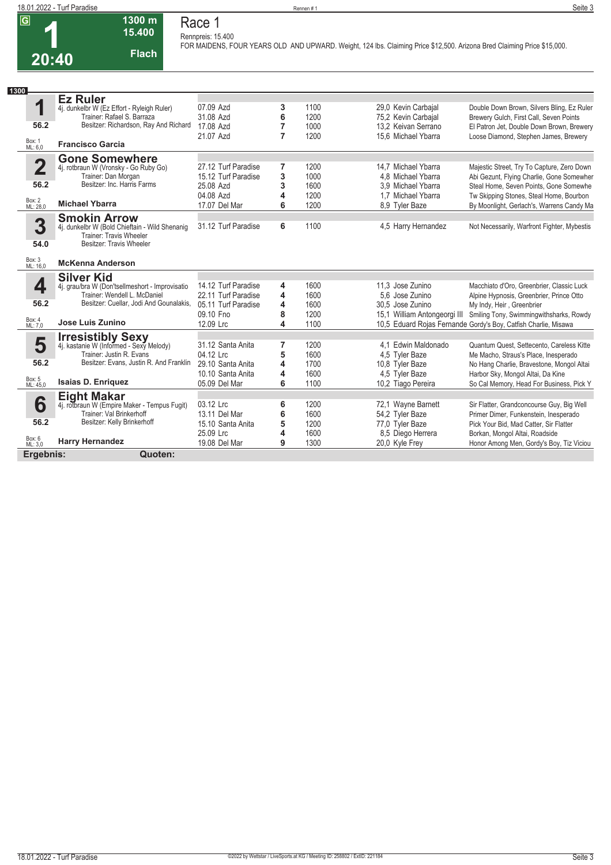## **1 20:40**

**1300 m Flach Race 1 Rennpreis: 15.400**

**15.400** 

**FOR MAIDENS, FOUR YEARS OLD AND UPWARD. Weight, 124 lbs. Claiming Price \$12,500. Arizona Bred Claiming Price \$15,000.** 

| 1300                                                  |                                                                                                                                                                            |                                                                                             |                       |                                      |                                                                                                         |                                                                                                                                                                                                                                  |
|-------------------------------------------------------|----------------------------------------------------------------------------------------------------------------------------------------------------------------------------|---------------------------------------------------------------------------------------------|-----------------------|--------------------------------------|---------------------------------------------------------------------------------------------------------|----------------------------------------------------------------------------------------------------------------------------------------------------------------------------------------------------------------------------------|
| ٠<br>56.2                                             | <b>Ez Ruler</b><br>4j. dunkelbr W (Ez Effort - Ryleigh Ruler)<br>Trainer: Rafael S. Barraza<br>Besitzer: Richardson, Ray And Richard                                       | 07.09 Azd<br>31.08 Azd<br>17.08 Azd<br>21.07 Azd                                            | 3<br>6<br>7<br>7      | 1100<br>1200<br>1000<br>1200         | 29,0 Kevin Carbajal<br>75,2 Kevin Carbajal<br>13,2 Keivan Serrano<br>15.6 Michael Ybarra                | Double Down Brown, Silvers Bling, Ez Ruler<br>Brewery Gulch, First Call, Seven Points<br>El Patron Jet, Double Down Brown, Brewery<br>Loose Diamond, Stephen James, Brewery                                                      |
| Box: 1<br>ML: 6,0                                     | <b>Francisco Garcia</b>                                                                                                                                                    |                                                                                             |                       |                                      |                                                                                                         |                                                                                                                                                                                                                                  |
| $\overline{\mathbf{2}}$<br>56.2<br>Box: 2<br>ML: 28,0 | <b>Gone Somewhere</b><br>4j. rotbraun W (Vronsky - Go Ruby Go)<br>Trainer: Dan Morgan<br>Besitzer: Inc. Harris Farms<br><b>Michael Ybarra</b>                              | 27.12 Turf Paradise<br>15.12 Turf Paradise<br>25.08 Azd<br>04.08 Azd<br>17.07 Del Mar       | 7<br>3<br>3<br>4<br>6 | 1200<br>1000<br>1600<br>1200<br>1200 | 14.7 Michael Ybarra<br>4.8 Michael Ybarra<br>3.9 Michael Ybarra<br>1.7 Michael Ybarra<br>8,9 Tyler Baze | Majestic Street, Try To Capture, Zero Down<br>Abi Gezunt, Flying Charlie, Gone Somewher<br>Steal Home, Seven Points, Gone Somewhe<br>Tw Skipping Stones, Steal Home, Bourbon<br>By Moonlight, Gerlach's, Warrens Candy Ma        |
| 3<br>54.0                                             | <b>Smokin Arrow</b><br>4j. dunkelbr W (Bold Chieftain - Wild Shenanig<br><b>Trainer: Travis Wheeler</b><br>Besitzer: Travis Wheeler                                        | 31.12 Turf Paradise                                                                         | 6                     | 1100                                 | 4,5 Harry Hernandez                                                                                     | Not Necessarily, Warfront Fighter, Mybestis                                                                                                                                                                                      |
| Box: 3<br>ML: 16,0                                    | <b>McKenna Anderson</b>                                                                                                                                                    |                                                                                             |                       |                                      |                                                                                                         |                                                                                                                                                                                                                                  |
| 4<br>56.2<br>Box: 4<br>ML: 7,0                        | <b>Silver Kid</b><br>4j. grau/bra W (Don'tsellmeshort - Improvisatio<br>Trainer: Wendell L. McDaniel<br>Besitzer: Cuellar, Jodi And Gounalakis,<br><b>Jose Luis Zunino</b> | 14.12 Turf Paradise<br>22.11 Turf Paradise<br>05.11 Turf Paradise<br>09.10 Fno<br>12.09 Lrc | 4<br>4<br>4<br>8<br>4 | 1600<br>1600<br>1600<br>1200<br>1100 | 11,3 Jose Zunino<br>5.6 Jose Zunino<br>30.5 Jose Zunino<br>15,1 William Antongeorgi III                 | Macchiato d'Oro, Greenbrier, Classic Luck<br>Alpine Hypnosis, Greenbrier, Prince Otto<br>My Indy, Heir, Greenbrier<br>Smiling Tony, Swimmingwithsharks, Rowdy<br>10,5 Eduard Rojas Fernande Gordy's Boy, Catfish Charlie, Misawa |
| 5<br>56.2<br>Box: 5<br>ML: 45,0                       | <b>Irresistibly Sexy</b><br>4j. kastanie W (Informed - Sexy Melody)<br>Trainer: Justin R. Evans<br>Besitzer: Evans, Justin R. And Franklin<br><b>Isaias D. Enriquez</b>    | 31.12 Santa Anita<br>04.12 Lrc<br>29.10 Santa Anita<br>10.10 Santa Anita<br>05.09 Del Mar   | 7<br>5<br>4<br>4<br>6 | 1200<br>1600<br>1700<br>1600<br>1100 | 4.1 Edwin Maldonado<br>4,5 Tyler Baze<br>10.8 Tyler Baze<br>4,5 Tyler Baze<br>10,2 Tiago Pereira        | Quantum Quest. Settecento. Careless Kitte<br>Me Macho, Straus's Place, Inesperado<br>No Hang Charlie, Bravestone, Mongol Altai<br>Harbor Sky, Mongol Altai, Da Kine<br>So Cal Memory, Head For Business, Pick Y                  |
| 6<br>56.2<br>Box: 6<br>ML: 3,0                        | <b>Eight Makar</b><br>4j. rotbraun W (Empire Maker - Tempus Fugit)<br>Trainer: Val Brinkerhoff<br>Besitzer: Kelly Brinkerhoff<br><b>Harry Hernandez</b>                    | 03.12 Lrc<br>13.11 Del Mar<br>15.10 Santa Anita<br>25.09 Lrc<br>19.08 Del Mar               | 6<br>6<br>5<br>4<br>9 | 1200<br>1600<br>1200<br>1600<br>1300 | 72,1 Wayne Barnett<br>54,2 Tyler Baze<br>77,0 Tyler Baze<br>8,5 Diego Herrera<br>20,0 Kyle Frey         | Sir Flatter, Grandconcourse Guy, Big Well<br>Primer Dimer, Funkenstein, Inesperado<br>Pick Your Bid, Mad Catter, Sir Flatter<br>Borkan, Mongol Altai, Roadside<br>Honor Among Men, Gordy's Boy, Tiz Viciou                       |
| Ergebnis:                                             | Quoten:                                                                                                                                                                    |                                                                                             |                       |                                      |                                                                                                         |                                                                                                                                                                                                                                  |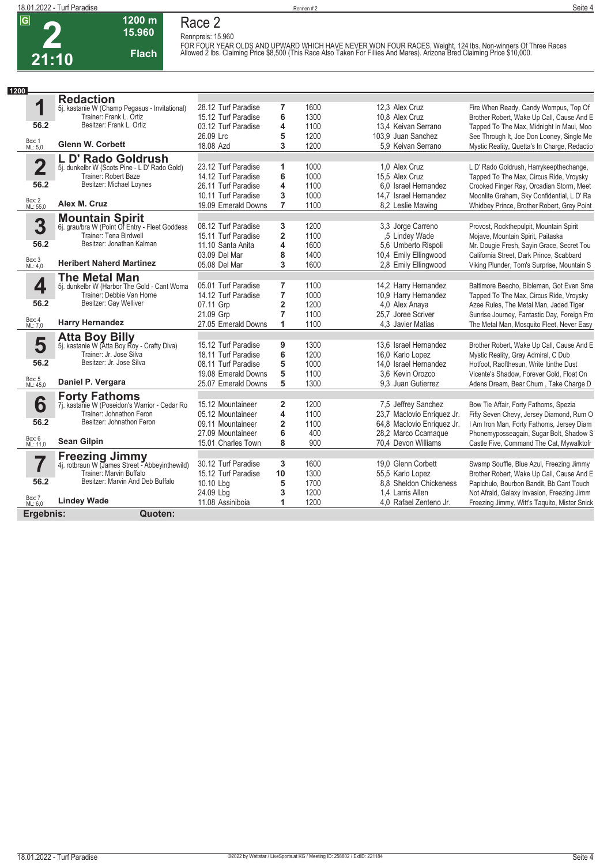

#### **1200 m 15.960 Flach Race 2**

**Rennpreis: 15.960** FOR FOUR YEAR OLDS AND UPWARD WHICH HAVE NEVER WON FOUR RACES. Weight, 124 lbs. Non-winners Of Three Races<br>Allowed 2 lbs. Claiming Price \$8,500 (This Race Also Taken For Fillies And Mares). Arizona Bred Claiming Price \$10,

| 1200                    |                                                                          |                                         |                         |              |                                                   |                                                                                           |
|-------------------------|--------------------------------------------------------------------------|-----------------------------------------|-------------------------|--------------|---------------------------------------------------|-------------------------------------------------------------------------------------------|
|                         | <b>Redaction</b>                                                         |                                         |                         |              |                                                   |                                                                                           |
| 1                       | 5j. kastanie W (Champ Pegasus - Invitational)                            | 28.12 Turf Paradise                     | 7                       | 1600         | 12.3 Alex Cruz                                    | Fire When Ready, Candy Wompus, Top Of                                                     |
| 56.2                    | Trainer: Frank L. Ortiz<br>Besitzer: Frank L. Ortiz                      | 15.12 Turf Paradise                     | 6                       | 1300         | 10.8 Alex Cruz                                    | Brother Robert, Wake Up Call, Cause And E                                                 |
|                         |                                                                          | 03.12 Turf Paradise<br>26.09 Lrc        | 4                       | 1100<br>1200 | 13,4 Keivan Serrano<br>103.9 Juan Sanchez         | Tapped To The Max, Midnight In Maui, Moo                                                  |
| Box: 1<br>ML: 5,0       | <b>Glenn W. Corbett</b>                                                  | 18.08 Azd                               | 5<br>3                  | 1200         | 5.9 Keivan Serrano                                | See Through It, Joe Don Looney, Single Me<br>Mystic Reality, Quetta's In Charge, Redactio |
|                         | L D' Rado Goldrush                                                       |                                         |                         |              |                                                   |                                                                                           |
| $\overline{\mathbf{2}}$ | 5j. dunkelbr W (Scots Pine - L D' Rado Gold)                             | 23.12 Turf Paradise                     | 1                       | 1000         | 1.0 Alex Cruz                                     | L D' Rado Goldrush, Harrykeepthechange,                                                   |
|                         | Trainer: Robert Baze                                                     | 14.12 Turf Paradise                     | 6                       | 1000         | 15.5 Alex Cruz                                    | Tapped To The Max, Circus Ride, Vroysky                                                   |
| 56.2                    | Besitzer: Michael Loynes                                                 | 26.11 Turf Paradise                     | 4                       | 1100         | 6.0 Israel Hernandez                              | Crooked Finger Ray, Orcadian Storm, Meet                                                  |
|                         |                                                                          | 10.11 Turf Paradise                     | 3                       | 1000         | 14.7 Israel Hernandez                             | Moonlite Graham, Sky Confidential, L D' Ra                                                |
| Box: 2<br>ML: 55,0      | Alex M. Cruz                                                             | 19.09 Emerald Downs                     | $\overline{7}$          | 1100         | 8.2 Leslie Mawing                                 | Whidbey Prince, Brother Robert, Grey Point                                                |
|                         | <b>Mountain Spirit</b><br>6j. grau/bra W (Point Of Entry - Fleet Goddess |                                         |                         |              |                                                   |                                                                                           |
| 3                       |                                                                          | 08.12 Turf Paradise                     | 3                       | 1200         | 3,3 Jorge Carreno                                 | Provost, Rockthepulpit, Mountain Spirit                                                   |
|                         | <b>Trainer: Tena Birdwell</b><br>Besitzer: Jonathan Kalman               | 15.11 Turf Paradise                     | $\overline{2}$          | 1100         | .5 Lindey Wade                                    | Mojave, Mountain Spirit, Paitaska                                                         |
| 56.2                    |                                                                          | 11.10 Santa Anita                       | 4                       | 1600         | 5,6 Umberto Rispoli                               | Mr. Dougie Fresh, Sayin Grace, Secret Tou                                                 |
| Box: 3<br>ML: 4,0       | <b>Heribert Naherd Martinez</b>                                          | 03.09 Del Mar<br>05.08 Del Mar          | 8<br>3                  | 1400<br>1600 | 10,4 Emily Ellingwood                             | California Street, Dark Prince, Scabbard                                                  |
|                         |                                                                          |                                         |                         |              | 2.8 Emily Ellingwood                              | Viking Plunder, Tom's Surprise, Mountain S                                                |
| 4                       | <b>The Metal Man</b>                                                     | 05.01 Turf Paradise                     | $\overline{7}$          | 1100         | 14,2 Harry Hernandez                              | Baltimore Beecho, Bibleman, Got Even Sma                                                  |
|                         | 5j. dunkelbr W (Harbor The Gold - Cant Woma<br>Trainer: Debbie Van Horne | 14.12 Turf Paradise                     | 7                       | 1000         | 10.9 Harry Hernandez                              | Tapped To The Max, Circus Ride, Vroysky                                                   |
| 56.2                    | Besitzer: Gay Welliver                                                   | 07.11 Grp                               | $\overline{\mathbf{2}}$ | 1200         | 4.0 Alex Anaya                                    | Azee Rules, The Metal Man, Jaded Tiger                                                    |
|                         |                                                                          | 21.09 Grp                               | $\overline{7}$          | 1100         | 25.7 Joree Scriver                                | Sunrise Journey, Fantastic Day, Foreign Pro                                               |
| Box: 4<br>ML: 7,0       | <b>Harry Hernandez</b>                                                   | 27.05 Emerald Downs                     | 1                       | 1100         | 4,3 Javier Matias                                 | The Metal Man, Mosquito Fleet, Never Easy                                                 |
|                         |                                                                          |                                         |                         |              |                                                   |                                                                                           |
| 5                       | <b>Atta Boy Billy</b><br>5j. kastanie W (Atta Boy Roy - Crafty Diva)     | 15.12 Turf Paradise                     | 9                       | 1300         | 13.6 Israel Hernandez                             | Brother Robert, Wake Up Call, Cause And E                                                 |
|                         | Trainer: Jr. Jose Silva                                                  | 18.11 Turf Paradise                     | 6                       | 1200         | 16,0 Karlo Lopez                                  | Mystic Reality, Gray Admiral, C Dub                                                       |
| 56.2                    | Besitzer: Jr. Jose Silva                                                 | 08.11 Turf Paradise                     | 5                       | 1000         | 14.0 Israel Hernandez                             | Hotfoot, Raofthesun, Write Itinthe Dust                                                   |
|                         |                                                                          | 19.08 Emerald Downs                     | 5                       | 1100         | 3.6 Kevin Orozco                                  | Vicente's Shadow, Forever Gold, Float On                                                  |
| Box: 5<br>ML: 45,0      | Daniel P. Vergara                                                        | 25.07 Emerald Downs                     | 5                       | 1300         | 9.3 Juan Gutierrez                                | Adens Dream, Bear Chum, Take Charge D                                                     |
|                         | <b>Forty Fathoms</b>                                                     |                                         |                         |              |                                                   |                                                                                           |
| 6                       | 7j. kastanie W (Poseidon's Warrior - Cedar Ro                            | 15.12 Mountaineer                       | $\overline{2}$          | 1200         | 7,5 Jeffrey Sanchez                               | Bow Tie Affair, Forty Fathoms, Spezia                                                     |
| 56.2                    | Trainer: Johnathon Feron<br>Besitzer: Johnathon Feron                    | 05.12 Mountaineer                       | 4                       | 1100         | 23,7 Maclovio Enriquez Jr.                        | Fifty Seven Chevy, Jersey Diamond, Rum O                                                  |
|                         |                                                                          | 09.11 Mountaineer                       | $\overline{2}$<br>6     | 1100<br>400  | 64,8 Maclovio Enriquez Jr.<br>28,2 Marco Ccamague | I Am Iron Man, Forty Fathoms, Jersey Diam                                                 |
| Box: 6<br>ML: 11,0      | <b>Sean Gilpin</b>                                                       | 27.09 Mountaineer<br>15.01 Charles Town | 8                       | 900          | 70,4 Devon Williams                               | Phonemyposseagain, Sugar Bolt, Shadow S<br>Castle Five, Command The Cat, Mywalktofr       |
|                         |                                                                          |                                         |                         |              |                                                   |                                                                                           |
| 7                       | <b>Freezing Jimmy</b><br>4j. rotbraun W (James Street - Abbeyinthewild)  | 30.12 Turf Paradise                     | 3                       | 1600         | 19.0 Glenn Corbett                                | Swamp Souffle, Blue Azul, Freezing Jimmy                                                  |
|                         | Trainer: Marvin Buffalo                                                  | 15.12 Turf Paradise                     | 10                      | 1300         | 55,5 Karlo Lopez                                  | Brother Robert, Wake Up Call, Cause And E                                                 |
| 56.2                    | Besitzer: Marvin And Deb Buffalo                                         | 10.10 Lbg                               | 5                       | 1700         | 8.8 Sheldon Chickeness                            | Papichulo, Bourbon Bandit, Bb Cant Touch                                                  |
|                         |                                                                          | 24.09 Lbg                               | 3                       | 1200         | 1.4 Larris Allen                                  | Not Afraid, Galaxy Invasion, Freezing Jimm                                                |
| Box: 7<br>ML: 6,0       | <b>Lindey Wade</b>                                                       | 11.08 Assiniboia                        | 1                       | 1200         | 4.0 Rafael Zenteno Jr.                            | Freezing Jimmy, Witt's Taquito, Mister Snick                                              |
| Ergebnis:               | Quoten:                                                                  |                                         |                         |              |                                                   |                                                                                           |
|                         |                                                                          |                                         |                         |              |                                                   |                                                                                           |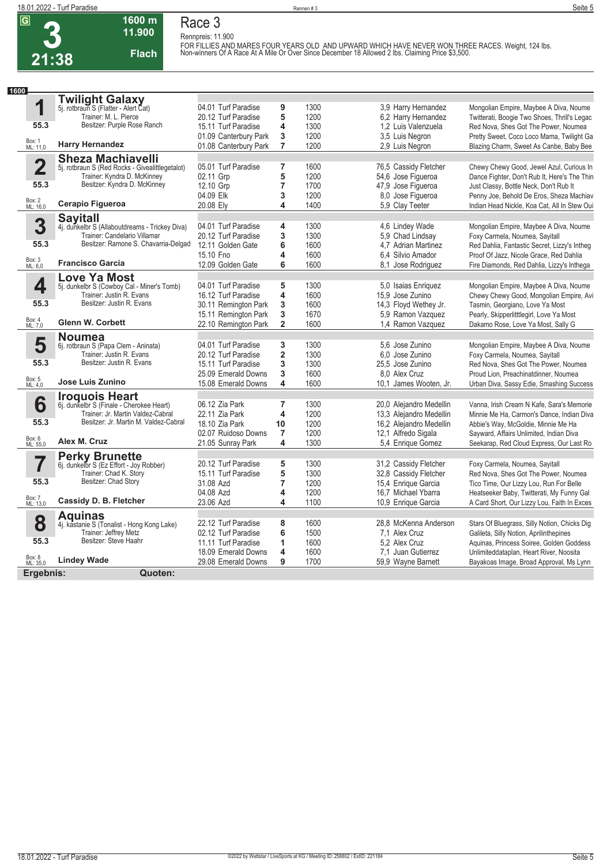

#### **1600 m 11.900 Flach Race 3**

**Rennpreis: 11.900** FOR FILLIES AND MARES FOUR YEARS OLD AND UPWARD WHICH HAVE NEVER WON THREE RACES. Weight, 124 lbs. <br>Non-winners Of A Race At A Mile Or Over Since December 18 Allowed 2 lbs. Claiming Price \$3,500.

| 1600 |                         |                                                                            |                                            |                         |              |                                            |                                                                                          |
|------|-------------------------|----------------------------------------------------------------------------|--------------------------------------------|-------------------------|--------------|--------------------------------------------|------------------------------------------------------------------------------------------|
|      |                         | <b>Twilight Galaxy</b>                                                     |                                            |                         |              |                                            |                                                                                          |
|      | 1                       | 5j. rotbraun S (Flatter - Alert Cat)                                       | 04.01 Turf Paradise                        | 9                       | 1300         | 3.9 Harry Hernandez                        | Mongolian Empire, Maybee A Diva, Noume                                                   |
|      |                         | Trainer: M. L. Pierce                                                      | 20.12 Turf Paradise                        | 5                       | 1200         | 6.2 Harry Hernandez                        | Twitterati, Boogie Two Shoes, Thrill's Legac                                             |
|      | 55.3                    | Besitzer: Purple Rose Ranch                                                | 15.11 Turf Paradise                        | 4                       | 1300         | 1.2 Luis Valenzuela                        | Red Nova, Shes Got The Power, Noumea                                                     |
|      |                         |                                                                            | 01.09 Canterbury Park                      | 3                       | 1200         | 3,5 Luis Negron                            | Pretty Sweet, Coco Loco Mama, Twilight Ga                                                |
|      | Box: 1<br>ML: 11,0      | <b>Harry Hernandez</b>                                                     | 01.08 Canterbury Park                      | $\overline{7}$          | 1200         | 2,9 Luis Negron                            | Blazing Charm, Sweet As Canbe, Baby Bee                                                  |
|      |                         | <b>Sheza Machiavelli</b>                                                   |                                            |                         |              |                                            |                                                                                          |
|      | $\overline{\mathbf{2}}$ | 5j. rotbraun S (Red Rocks - Givenlittlegetalot)                            | 05.01 Turf Paradise                        | 7                       | 1600         | 76,5 Cassidy Fletcher                      | Chewy Chewy Good, Jewel Azul, Curious In                                                 |
|      |                         | Trainer: Kyndra D. McKinney                                                | 02.11 Grp                                  | 5                       | 1200         | 54,6 Jose Figueroa                         | Dance Fighter, Don't Rub It, Here's The Thin                                             |
|      | 55.3                    | Besitzer: Kyndra D. McKinney                                               | 12.10 Grp                                  | 7                       | 1700         | 47,9 Jose Figueroa                         | Just Classy, Bottle Neck, Don't Rub It                                                   |
|      |                         |                                                                            | 04.09 Elk                                  | 3                       | 1200         | 8.0 Jose Figueroa                          | Penny Joe, Behold De Eros, Sheza Machiav                                                 |
|      | Box: 2<br>ML: 16,0      | Cerapio Figueroa                                                           | 20.08 Ely                                  | 4                       | 1400         | 5.9 Clay Teeter                            | Indian Head Nickle, Koa Cat, All In Stew Oui                                             |
|      |                         | <b>Sayitall</b>                                                            |                                            |                         |              |                                            |                                                                                          |
|      | 3                       | 4j. dunkelbr S (Allaboutdreams - Trickey Diva)                             | 04.01 Turf Paradise                        | 4                       | 1300         | 4.6 Lindey Wade                            | Mongolian Empire, Maybee A Diva, Noume                                                   |
|      |                         | Trainer: Candelario Villamar                                               | 20.12 Turf Paradise                        | 3                       | 1300         | 5,9 Chad Lindsay                           | Foxy Carmela, Noumea, Sayitall                                                           |
|      | 55.3                    | Besitzer: Ramone S. Chavarria-Delgad                                       | 12.11 Golden Gate                          | 6                       | 1600         | 4.7 Adrian Martinez                        | Red Dahlia, Fantastic Secret, Lizzy's Intheg                                             |
|      |                         |                                                                            | 15.10 Fno                                  | 4                       | 1600         | 6.4 Silvio Amador                          | Proof Of Jazz, Nicole Grace, Red Dahlia                                                  |
|      | Box: 3<br>ML: 6,0       | <b>Francisco Garcia</b>                                                    | 12.09 Golden Gate                          | 6                       | 1600         | 8,1 Jose Rodriguez                         | Fire Diamonds, Red Dahlia, Lizzy's Inthega                                               |
|      |                         | <b>Love Ya Most</b>                                                        |                                            |                         |              |                                            |                                                                                          |
|      | 4                       | 5j. dunkelbr S (Cowboy Cal - Miner's Tomb)                                 | 04.01 Turf Paradise                        | 5                       | 1300         | 5,0 Isaias Enriquez                        | Mongolian Empire, Maybee A Diva, Noume                                                   |
|      |                         | Trainer: Justin R. Evans                                                   | 16.12 Turf Paradise                        | 4                       | 1600         | 15.9 Jose Zunino                           | Chewy Chewy Good, Mongolian Empire, Avi                                                  |
|      | 55.3                    | Besitzer: Justin R. Evans                                                  | 30.11 Remington Park                       | 3                       | 1600         | 14,3 Floyd Wethey Jr.                      | Tasmin, Georgiano, Love Ya Most                                                          |
|      |                         |                                                                            | 15.11 Remington Park                       | 3                       | 1670         | 5,9 Ramon Vazquez                          | Pearly, Skipperlitttlegirl, Love Ya Most                                                 |
|      | Box: 4<br>ML: 7,0       | <b>Glenn W. Corbett</b>                                                    | 22.10 Remington Park                       | $\overline{2}$          | 1600         | 1.4 Ramon Vazquez                          | Dakamo Rose, Love Ya Most, Sally G                                                       |
|      |                         | <b>Noumea</b>                                                              |                                            |                         |              |                                            |                                                                                          |
|      | 5                       | 6j. rotbraun S (Papa Clem - Aninata)                                       | 04.01 Turf Paradise                        | 3                       | 1300         | 5.6 Jose Zunino                            | Mongolian Empire, Maybee A Diva, Noume                                                   |
|      |                         | Trainer: Justin R. Evans<br>Besitzer: Justin R. Evans                      | 20.12 Turf Paradise                        | $\overline{\mathbf{2}}$ | 1300         | 6.0 Jose Zunino                            | Foxy Carmela, Noumea, Sayitall                                                           |
|      | 55.3                    |                                                                            | 15.11 Turf Paradise                        | 3                       | 1300         | 25.5 Jose Zunino                           | Red Nova, Shes Got The Power, Noumea                                                     |
|      | Box: 5<br>ML: 4,0       | Jose Luis Zunino                                                           | 25.09 Emerald Downs                        | 3                       | 1600         | 8.0 Alex Cruz                              | Proud Lion, Preachinatdinner, Noumea                                                     |
|      |                         |                                                                            | 15.08 Emerald Downs                        | 4                       | 1600         | 10,1 James Wooten, Jr.                     | Urban Diva, Sassy Edie, Smashing Success                                                 |
|      |                         | <b>Iroquois Heart</b>                                                      |                                            |                         |              |                                            |                                                                                          |
|      | 6                       | 6j. dunkelbr S (Finale - Cherokee Heart)                                   | 06.12 Zia Park                             | $\overline{7}$          | 1300         | 20,0 Alejandro Medellin                    | Vanna, Irish Cream N Kafe, Sara's Memorie                                                |
|      | 55.3                    | Trainer: Jr. Martin Valdez-Cabral<br>Besitzer: Jr. Martin M. Valdez-Cabral | 22.11 Zia Park                             | 4                       | 1200         | 13,3 Alejandro Medellin                    | Minnie Me Ha, Carmon's Dance, Indian Diva                                                |
|      |                         |                                                                            | 18.10 Zia Park                             | 10                      | 1200         | 16,2 Alejandro Medellin                    | Abbie's Way, McGoldie, Minnie Me Ha                                                      |
|      | Box: 6<br>ML: 55,0      | Alex M. Cruz                                                               | 02.07 Ruidoso Downs                        | $\overline{7}$          | 1200         | 12,1 Alfredo Sigala                        | Sayward, Affairs Unlimited, Indian Diva                                                  |
|      |                         |                                                                            | 21.05 Sunray Park                          | 4                       | 1300         | 5.4 Enrique Gomez                          | Seekarap, Red Cloud Express, Our Last Ro                                                 |
|      |                         | <b>Perky Brunette</b>                                                      |                                            |                         |              |                                            |                                                                                          |
|      | 7                       | 6j. dunkelbr S (Ez Effort - Joy Robber)<br>Trainer: Chad K. Story          | 20.12 Turf Paradise<br>15.11 Turf Paradise | 5                       | 1300<br>1300 | 31,2 Cassidy Fletcher                      | Foxy Carmela, Noumea, Sayitall                                                           |
|      | 55.3                    | Besitzer: Chad Story                                                       |                                            | 5<br>$\overline{7}$     |              | 32,8 Cassidy Fletcher                      | Red Nova, Shes Got The Power, Noumea                                                     |
|      |                         |                                                                            | 31.08 Azd                                  |                         | 1200         | 15,4 Enrique Garcia                        | Tico Time, Our Lizzy Lou, Run For Belle                                                  |
|      | Box: 7<br>ML: 13,0      | Cassidy D. B. Fletcher                                                     | 04.08 Azd<br>23.06 Azd                     | 4<br>4                  | 1200<br>1100 | 16.7 Michael Ybarra<br>10,9 Enrique Garcia | Heatseeker Baby, Twitterati, My Funny Gal<br>A Card Short, Our Lizzy Lou, Faith In Exces |
|      |                         |                                                                            |                                            |                         |              |                                            |                                                                                          |
|      | 8                       | <b>Aquinas</b><br>4j. kastanie S (Tonalist - Hong Kong Lake)               | 22.12 Turf Paradise                        | 8                       | 1600         | 28.8 McKenna Anderson                      | Stars Of Bluegrass, Silly Notion, Chicks Dig                                             |
|      |                         | Trainer: Jeffrey Metz                                                      | 02.12 Turf Paradise                        | 6                       | 1500         | 7.1 Alex Cruz                              | Galileta, Silly Notion, Aprilinthepines                                                  |
|      | 55.3                    | Besitzer: Steve Haahr                                                      | 11.11 Turf Paradise                        | 1                       | 1600         | 5.2 Alex Cruz                              | Aquinas, Princess Soiree, Golden Goddess                                                 |
|      |                         |                                                                            | 18.09 Emerald Downs                        | 4                       | 1600         | 7.1 Juan Gutierrez                         | Unlimiteddataplan, Heart River, Noosita                                                  |
|      | Box: 8<br>ML: 35,0      | <b>Lindey Wade</b>                                                         | 29.08 Emerald Downs                        | 9                       | 1700         | 59,9 Wayne Barnett                         | Bayakoas Image, Broad Approval, Ms Lynn                                                  |
|      | Ergebnis:               | Quoten:                                                                    |                                            |                         |              |                                            |                                                                                          |
|      |                         |                                                                            |                                            |                         |              |                                            |                                                                                          |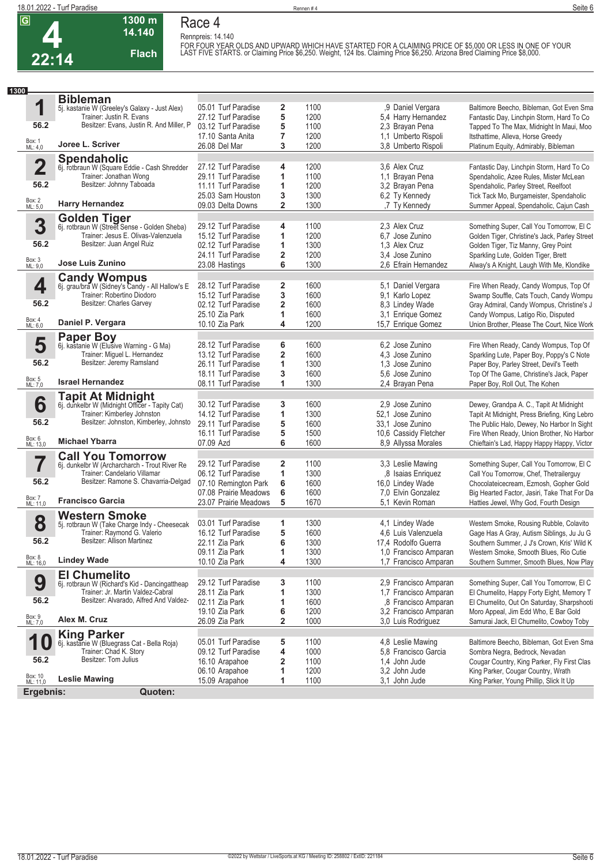

**Race 4 Rennpreis: 14.140**



### **14.140 Flach**

**1300 m**

FOR FOUR YEAR OLDS AND UPWARD WHICH HAVE STARTED FOR A CLAIMING PRICE OF \$5,000 OR LESS IN ONE OF YOUR<br>LAST FIVE STARTS. or Claiming Price \$6,250. Weight, 124 lbs. Claiming Price \$6,250. Arizona Bred Claiming Price \$8,000.

|                                     | Seite 6 |
|-------------------------------------|---------|
|                                     |         |
|                                     |         |
| E OF \$5.000 OR LESS IN ONE OF YOUR |         |

| 1300                |                                                                                     |                                            |                         |              |                                                |                                                                                       |
|---------------------|-------------------------------------------------------------------------------------|--------------------------------------------|-------------------------|--------------|------------------------------------------------|---------------------------------------------------------------------------------------|
|                     | <b>Bibleman</b>                                                                     |                                            |                         |              |                                                |                                                                                       |
| 1                   | 5j. kastanie W (Greeley's Galaxy - Just Alex)                                       | 05.01 Turf Paradise                        | 2                       | 1100         | ,9 Daniel Vergara                              | Baltimore Beecho, Bibleman, Got Even Sma                                              |
| 56.2                | Trainer: Justin R. Evans<br>Besitzer: Evans, Justin R. And Miller, P                | 27.12 Turf Paradise                        | 5                       | 1200         | 5,4 Harry Hernandez                            | Fantastic Day, Linchpin Storm, Hard To Co                                             |
|                     |                                                                                     | 03.12 Turf Paradise<br>17.10 Santa Anita   | 5                       | 1100         | 2,3 Brayan Pena                                | Tapped To The Max, Midnight In Maui, Moo                                              |
| Box: 1<br>ML: 4,0   | Joree L. Scriver                                                                    | 26.08 Del Mar                              | $\overline{7}$<br>3     | 1200<br>1200 | 1.1 Umberto Rispoli<br>3.8 Umberto Rispoli     | Itsthattime, Alleva, Horse Greedy<br>Platinum Equity, Admirably, Bibleman             |
|                     |                                                                                     |                                            |                         |              |                                                |                                                                                       |
| $\overline{2}$      | <b>Spendaholic</b>                                                                  | 27.12 Turf Paradise                        | 4                       | 1200         | 3.6 Alex Cruz                                  | Fantastic Day, Linchpin Storm, Hard To Co                                             |
|                     | 6j. rotbraun W (Square Eddie - Cash Shredder<br>Trainer: Jonathan Wong              | 29.11 Turf Paradise                        | 1                       | 1100         | 1,1 Brayan Pena                                | Spendaholic, Azee Rules, Mister McLean                                                |
| 56.2                | Besitzer: Johnny Taboada                                                            | 11.11 Turf Paradise                        | 1                       | 1200         | 3,2 Brayan Pena                                | Spendaholic, Parley Street, Reelfoot                                                  |
|                     |                                                                                     | 25.03 Sam Houston                          | 3                       | 1300         | 6,2 Ty Kennedy                                 | Tick Tack Mo, Burgameister, Spendaholic                                               |
| Box: 2<br>ML: 5,0   | <b>Harry Hernandez</b>                                                              | 09.03 Delta Downs                          | $\overline{\mathbf{2}}$ | 1300         | ,7 Ty Kennedy                                  | Summer Appeal, Spendaholic, Cajun Cash                                                |
|                     | <b>Golden Tiger</b>                                                                 |                                            |                         |              |                                                |                                                                                       |
| 3                   | 6j. rotbraun W (Street Sense - Golden Sheba)                                        | 29.12 Turf Paradise                        | 4                       | 1100         | 2,3 Alex Cruz                                  | Something Super, Call You Tomorrow, El C                                              |
|                     | Trainer: Jesus E. Olivas-Valenzuela                                                 | 15.12 Turf Paradise                        | 1                       | 1200         | 6,7 Jose Zunino                                | Golden Tiger, Christine's Jack, Parley Street                                         |
| 56.2                | Besitzer: Juan Angel Ruiz                                                           | 02.12 Turf Paradise                        | 1                       | 1300         | 1.3 Alex Cruz                                  | Golden Tiger, Tiz Manny, Grey Point                                                   |
| Box: 3              |                                                                                     | 24.11 Turf Paradise                        | $\overline{\mathbf{2}}$ | 1200         | 3.4 Jose Zunino                                | Sparkling Lute, Golden Tiger, Brett                                                   |
| ML: 9,0             | Jose Luis Zunino                                                                    | 23.08 Hastings                             | 6                       | 1300         | 2.6 Efrain Hernandez                           | Alway's A Knight, Laugh With Me, Klondike                                             |
|                     |                                                                                     |                                            |                         |              |                                                |                                                                                       |
| 4                   | <b>Candy Wompus</b><br>6j. grau/bra W (Sidney's Candy - All Hallow's E              | 28.12 Turf Paradise                        | 2                       | 1600         | 5,1 Daniel Vergara                             | Fire When Ready, Candy Wompus, Top Of                                                 |
|                     | Trainer: Robertino Diodoro                                                          | 15.12 Turf Paradise                        | 3                       | 1600         | 9,1 Karlo Lopez                                | Swamp Souffle, Cats Touch, Candy Wompu                                                |
| 56.2                | Besitzer: Charles Garvey                                                            | 02.12 Turf Paradise                        | 2                       | 1600         | 8,3 Lindey Wade                                | Gray Admiral, Candy Wompus, Christine's J                                             |
|                     |                                                                                     | 25.10 Zia Park                             | 1                       | 1600         | 3,1 Enrique Gomez                              | Candy Wompus, Latigo Rio, Disputed                                                    |
| Box: 4<br>ML: 6,0   | Daniel P. Vergara                                                                   | 10.10 Zia Park                             | 4                       | 1200         | 15,7 Enrique Gomez                             | Union Brother, Please The Court, Nice Work                                            |
|                     | <b>Paper Boy</b>                                                                    |                                            |                         |              |                                                |                                                                                       |
| 5                   | 6j. kastanie W (Elusive Warning - G Ma)<br>Trainer: Miguel L. Hernandez             | 28.12 Turf Paradise                        | 6                       | 1600         | 6.2 Jose Zunino                                | Fire When Ready, Candy Wompus, Top Of                                                 |
| 56.2                | Besitzer: Jeremy Ramsland                                                           | 13.12 Turf Paradise                        | $\overline{\mathbf{2}}$ | 1600<br>1300 | 4,3 Jose Zunino<br>1.3 Jose Zunino             | Sparkling Lute, Paper Boy, Poppy's C Note<br>Paper Boy, Parley Street, Devil's Teeth  |
|                     |                                                                                     | 26.11 Turf Paradise<br>18.11 Turf Paradise | 1<br>3                  | 1600         | 5.6 Jose Zunino                                | Top Of The Game, Christine's Jack, Paper                                              |
| Box: 5<br>ML: 7,0   | <b>Israel Hernandez</b>                                                             | 08.11 Turf Paradise                        | 1                       | 1300         | 2,4 Brayan Pena                                | Paper Boy, Roll Out, The Kohen                                                        |
|                     |                                                                                     |                                            |                         |              |                                                |                                                                                       |
| 6                   | <b>Tapit At Midnight</b><br>6j. dunkelbr W (Midnight Officer - Tapity Cat)          | 30.12 Turf Paradise                        | 3                       | 1600         | 2.9 Jose Zunino                                | Dewey, Grandpa A. C., Tapit At Midnight                                               |
|                     | Trainer: Kimberley Johnston                                                         | 14.12 Turf Paradise                        | 1                       | 1300         | 52.1 Jose Zunino                               | Tapit At Midnight, Press Briefing, King Lebro                                         |
| 56.2                | Besitzer: Johnston, Kimberley, Johnsto                                              | 29.11 Turf Paradise                        | 5                       | 1600         | 33.1 Jose Zunino                               | The Public Halo, Dewey, No Harbor In Sight                                            |
|                     |                                                                                     | 16.11 Turf Paradise                        | 5                       | 1500         | 10,6 Cassidy Fletcher                          | Fire When Ready, Union Brother, No Harbor                                             |
| Box: 6<br>ML: 13,0  | <b>Michael Ybarra</b>                                                               | 07.09 Azd                                  | 6                       | 1600         | 8,9 Allyssa Morales                            | Chieftain's Lad, Happy Happy Happy, Victor                                            |
|                     | <b>Call You Tomorrow</b>                                                            |                                            |                         |              |                                                |                                                                                       |
|                     | 6j. dunkelbr W (Archarcharch - Trout River Re                                       | 29.12 Turf Paradise                        | $\overline{\mathbf{2}}$ | 1100         | 3.3 Leslie Mawing                              | Something Super, Call You Tomorrow, El C                                              |
|                     | Trainer: Candelario Villamar                                                        | 06.12 Turf Paradise                        | 1                       | 1300         | ,8 Isaias Enriquez                             | Call You Tomorrow, Chef, Thetrailerguy                                                |
| 56.2                | Besitzer: Ramone S. Chavarria-Delgad                                                | 07.10 Remington Park                       | 6                       | 1600         | 16,0 Lindey Wade                               | Chocolateicecream, Ezmosh, Gopher Gold                                                |
|                     |                                                                                     | 07.08 Prairie Meadows                      | 6                       | 1600         | 7.0 Elvin Gonzalez                             | Big Hearted Factor, Jasiri, Take That For Da                                          |
| Box: 7<br>ML: 11,0  | <b>Francisco Garcia</b>                                                             | 23.07 Prairie Meadows                      | 5                       | 1670         | 5,1 Kevin Roman                                | Hatties Jewel, Why God, Fourth Design                                                 |
|                     | <b>Western Smoke</b>                                                                |                                            |                         |              |                                                |                                                                                       |
| 8                   | 5j. rotbraun W (Take Charge Indy - Cheesecak                                        | 03.01 Turf Paradise                        | 1                       | 1300         | 4,1 Lindey Wade                                | Western Smoke, Rousing Rubble, Colavito                                               |
|                     | Trainer: Raymond G. Valerio                                                         | 16.12 Turf Paradise                        | 5                       | 1600         | 4,6 Luis Valenzuela                            | Gage Has A Gray, Autism Siblings, Ju Ju G                                             |
| 56.2                | Besitzer: Allison Martinez                                                          | 22.11 Zia Park                             | 6                       | 1300         | 17.4 Rodolfo Guerra                            | Southern Summer, J J's Crown, Kris' Wild K                                            |
| Box: 8<br>ML: 16,0  | <b>Lindey Wade</b>                                                                  | 09.11 Zia Park                             | 1                       | 1300         | 1,0 Francisco Amparan                          | Western Smoke, Smooth Blues, Rio Cutie                                                |
|                     |                                                                                     | 10.10 Zia Park                             | 4                       | 1300         | 1.7 Francisco Amparan                          | Southern Summer, Smooth Blues, Now Play                                               |
|                     | <b>El Chumelito</b>                                                                 |                                            |                         |              |                                                |                                                                                       |
| 9                   | 6j. rotbraun W (Richard's Kid - Dancingattheap<br>Trainer: Jr. Martin Valdez-Cabral | 29.12 Turf Paradise<br>28.11 Zia Park      | 3<br>1                  | 1100<br>1300 | 2,9 Francisco Amparan<br>1,7 Francisco Amparan | Something Super, Call You Tomorrow, El C<br>El Chumelito, Happy Forty Eight, Memory T |
| 56.2                | Besitzer: Alvarado, Alfred And Valdez-                                              | 02.11 Zia Park                             | 1                       | 1600         | ,8 Francisco Amparan                           | El Chumelito, Out On Saturday, Sharpshooti                                            |
|                     |                                                                                     | 19.10 Zia Park                             | 6                       | 1200         | 3,2 Francisco Amparan                          | Moro Appeal, Jim Edd Who, E Bar Gold                                                  |
| Box: 9<br>ML: 7,0   | Alex M. Cruz                                                                        | 26.09 Zia Park                             | 2                       | 1000         | 3,0 Luis Rodriguez                             | Samurai Jack, El Chumelito, Cowboy Toby                                               |
|                     | <b>King Parker</b>                                                                  |                                            |                         |              |                                                |                                                                                       |
| 1                   | 6j. kastanie W (Bluegrass Cat - Bella Roja)                                         | 05.01 Turf Paradise                        | 5                       | 1100         | 4,8 Leslie Mawing                              | Baltimore Beecho, Bibleman, Got Even Sma                                              |
|                     | Trainer: Chad K. Story                                                              | 09.12 Turf Paradise                        | 4                       | 1000         | 5,8 Francisco Garcia                           | Sombra Negra, Bedrock, Nevadan                                                        |
| 56.2                | Besitzer: Tom Julius                                                                | 16.10 Arapahoe                             | 2                       | 1100         | 1.4 John Jude                                  | Cougar Country, King Parker, Fly First Clas                                           |
|                     |                                                                                     | 06.10 Arapahoe                             | 1                       | 1200         | 3,2 John Jude                                  | King Parker, Cougar Country, Wrath                                                    |
| Box: 10<br>ML: 11,0 | <b>Leslie Mawing</b>                                                                | 15.09 Arapahoe                             | 1                       | 1100         | 3,1 John Jude                                  | King Parker, Young Phillip, Slick It Up                                               |
| Ergebnis:           | Quoten:                                                                             |                                            |                         |              |                                                |                                                                                       |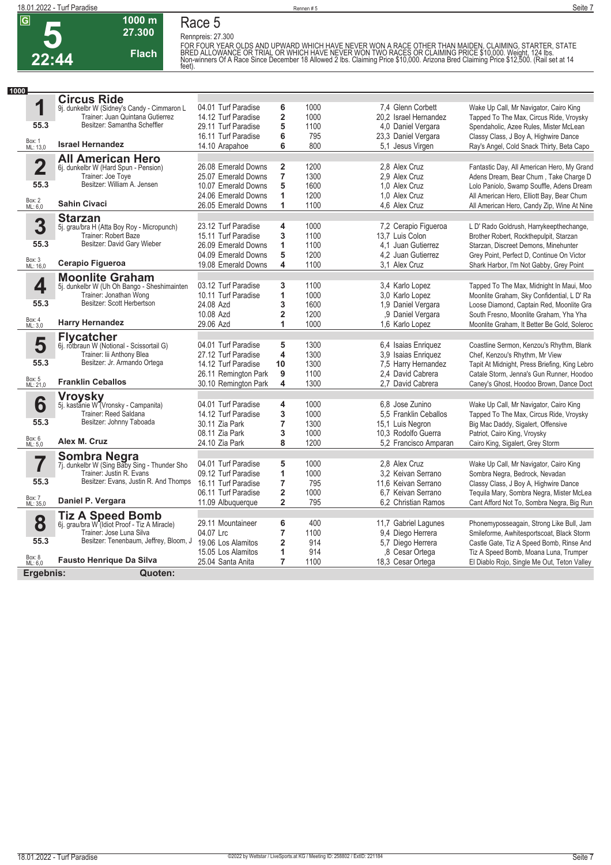

## **Race 5**

**Rennpreis: 27.300**

**1000 m 27.300 Flach**

FOR FOUR YEAR OLDS AND UPWARD WHICH HAVE NEVER WON A RACE OTHER THAN MAIDEN, CLAIMING, STARTER, STATE<br>BRED ALLOWANCE OR TRIAL OR WHICH HAVE NEVER WON TWO RACES OR CLAIMING PRICE \$10,000. Weight, 124 lbs.<br>Non-winners Of A R

| 1000                    |                                                                         |                      |                         |      |                       |                                                                                   |
|-------------------------|-------------------------------------------------------------------------|----------------------|-------------------------|------|-----------------------|-----------------------------------------------------------------------------------|
|                         | <b>Circus Ride</b>                                                      |                      |                         |      |                       |                                                                                   |
| 1                       | 9j. dunkelbr W (Sidney's Candy - Cimmaron L                             | 04.01 Turf Paradise  | 6                       | 1000 | 7,4 Glenn Corbett     | Wake Up Call, Mr Navigator, Cairo King                                            |
|                         | Trainer: Juan Quintana Gutierrez                                        | 14.12 Turf Paradise  | $\overline{\mathbf{2}}$ | 1000 | 20.2 Israel Hernandez | Tapped To The Max, Circus Ride, Vroysky                                           |
| 55.3                    | Besitzer: Samantha Scheffler                                            | 29.11 Turf Paradise  | 5                       | 1100 | 4.0 Daniel Vergara    | Spendaholic, Azee Rules, Mister McLean                                            |
|                         |                                                                         | 16.11 Turf Paradise  | 6                       | 795  | 23.3 Daniel Vergara   | Classy Class, J Boy A, Highwire Dance                                             |
| Box: 1<br>ML: 13,0      | <b>Israel Hernandez</b>                                                 | 14.10 Arapahoe       | 6                       | 800  | 5,1 Jesus Virgen      | Ray's Angel, Cold Snack Thirty, Beta Capo                                         |
|                         | <b>All American Hero</b>                                                |                      |                         |      |                       |                                                                                   |
| $\overline{\mathbf{2}}$ | 6j. dunkelbr W (Hard Spun - Pension)                                    | 26.08 Emerald Downs  | 2                       | 1200 | 2.8 Alex Cruz         | Fantastic Day, All American Hero, My Grand                                        |
|                         | Trainer: Joe Toye                                                       | 25.07 Emerald Downs  | $\overline{7}$          | 1300 | 2.9 Alex Cruz         | Adens Dream, Bear Chum, Take Charge D                                             |
| 55.3                    | Besitzer: William A. Jensen                                             | 10.07 Emerald Downs  | 5                       | 1600 | 1.0 Alex Cruz         | Lolo Paniolo, Swamp Souffle, Adens Dream                                          |
|                         |                                                                         | 24.06 Emerald Downs  | 1                       | 1200 | 1.0 Alex Cruz         | All American Hero, Elliott Bay, Bear Chum                                         |
| Box: 2<br>ML: 6,0       | <b>Sahin Civaci</b>                                                     | 26.05 Emerald Downs  | 1                       | 1100 | 4.6 Alex Cruz         | All American Hero, Candy Zip, Wine At Nine                                        |
|                         |                                                                         |                      |                         |      |                       |                                                                                   |
| 3                       | <b>Starzan</b>                                                          | 23.12 Turf Paradise  | 4                       | 1000 | 7,2 Cerapio Figueroa  | L D' Rado Goldrush, Harrykeepthechange,                                           |
|                         | 5j. grau/bra H (Atta Boy Roy - Micropunch)<br>Trainer: Robert Baze      | 15.11 Turf Paradise  | 3                       | 1100 | 13,7 Luis Colon       | Brother Robert, Rockthepulpit, Starzan                                            |
| 55.3                    | Besitzer: David Gary Wieber                                             | 26.09 Emerald Downs  | 1                       | 1100 | 4.1 Juan Gutierrez    |                                                                                   |
|                         |                                                                         | 04.09 Emerald Downs  | 5                       | 1200 | 4.2 Juan Gutierrez    | Starzan, Discreet Demons, Minehunter<br>Grey Point, Perfect D, Continue On Victor |
| Box: 3<br>ML: 16,0      | Cerapio Figueroa                                                        | 19.08 Emerald Downs  | 4                       | 1100 | 3.1 Alex Cruz         |                                                                                   |
|                         |                                                                         |                      |                         |      |                       | Shark Harbor, I'm Not Gabby, Grey Point                                           |
|                         | <b>Moonlite Graham</b>                                                  |                      |                         |      |                       |                                                                                   |
| 4                       | 5j. dunkelbr W (Uh Oh Bango - Sheshimainten                             | 03.12 Turf Paradise  | 3                       | 1100 | 3,4 Karlo Lopez       | Tapped To The Max, Midnight In Maui, Moo                                          |
|                         | Trainer: Jonathan Wong<br>Besitzer: Scott Herbertson                    | 10.11 Turf Paradise  | 1                       | 1000 | 3.0 Karlo Lopez       | Moonlite Graham, Sky Confidential, L D' Ra                                        |
| 55.3                    |                                                                         | 24.08 Azd            | 3                       | 1600 | 1,9 Daniel Vergara    | Loose Diamond, Captain Red, Moonlite Gra                                          |
|                         |                                                                         | 10.08 Azd            | $\overline{\mathbf{2}}$ | 1200 | .9 Daniel Vergara     | South Fresno, Moonlite Graham, Yha Yha                                            |
| Box: 4<br>ML: 3,0       | <b>Harry Hernandez</b>                                                  | 29.06 Azd            | 1                       | 1000 | 1.6 Karlo Lopez       | Moonlite Graham, It Better Be Gold, Soleroc                                       |
|                         | <b>Flycatcher</b>                                                       |                      |                         |      |                       |                                                                                   |
| 5                       | 6j. rotbraun W (Notional - Scissortail G)                               | 04.01 Turf Paradise  | 5                       | 1300 | 6.4 Isaias Enriquez   | Coastline Sermon, Kenzou's Rhythm, Blank                                          |
|                         | Trainer: lii Anthony Blea                                               | 27.12 Turf Paradise  | 4                       | 1300 | 3,9 Isaias Enriquez   | Chef, Kenzou's Rhythm, Mr View                                                    |
| 55.3                    | Besitzer: Jr. Armando Ortega                                            | 14.12 Turf Paradise  | 10                      | 1300 | 7,5 Harry Hernandez   | Tapit At Midnight, Press Briefing, King Lebro                                     |
|                         |                                                                         | 26.11 Remington Park | 9                       | 1100 | 2.4 David Cabrera     | Catale Storm, Jenna's Gun Runner, Hoodoo                                          |
| Box: 5<br>ML: 21,0      | <b>Franklin Ceballos</b>                                                | 30.10 Remington Park | 4                       | 1300 | 2,7 David Cabrera     | Caney's Ghost, Hoodoo Brown, Dance Doct                                           |
|                         |                                                                         |                      |                         |      |                       |                                                                                   |
| 6                       | Vroysky<br>5j. kastanie W (Vronsky - Campanita)                         | 04.01 Turf Paradise  | 4                       | 1000 | 6.8 Jose Zunino       | Wake Up Call, Mr Navigator, Cairo King                                            |
|                         | Trainer: Reed Saldana                                                   | 14.12 Turf Paradise  | 3                       | 1000 | 5.5 Franklin Ceballos | Tapped To The Max, Circus Ride, Vroysky                                           |
| 55.3                    | Besitzer: Johnny Taboada                                                | 30.11 Zia Park       | $\overline{7}$          | 1300 | 15,1 Luis Negron      | Big Mac Daddy, Sigalert, Offensive                                                |
|                         |                                                                         | 08.11 Zia Park       | 3                       | 1000 | 10,3 Rodolfo Guerra   | Patriot, Cairo King, Vroysky                                                      |
| Box: 6<br>ML: 5,0       | Alex M. Cruz                                                            | 24.10 Zia Park       | 8                       | 1200 | 5.2 Francisco Amparan | Cairo King, Sigalert, Grey Storm                                                  |
|                         |                                                                         |                      |                         |      |                       |                                                                                   |
| 7                       | <b>Sombra Negra</b><br>7j. dunkelbr W (Sing Baby Sing - Thunder Sho     | 04.01 Turf Paradise  | 5                       | 1000 | 2.8 Alex Cruz         | Wake Up Call, Mr Navigator, Cairo King                                            |
|                         | Trainer: Justin R. Evans                                                | 09.12 Turf Paradise  | 1                       | 1000 | 3.2 Keivan Serrano    | Sombra Negra, Bedrock, Nevadan                                                    |
| 55.3                    | Besitzer: Evans, Justin R. And Thomps                                   | 16.11 Turf Paradise  | $\overline{7}$          | 795  | 11.6 Keivan Serrano   | Classy Class, J Boy A, Highwire Dance                                             |
|                         |                                                                         | 06.11 Turf Paradise  | $\overline{\mathbf{2}}$ | 1000 | 6,7 Keivan Serrano    | Tequila Mary, Sombra Negra, Mister McLea                                          |
| Box: 7<br>ML: 35,0      | Daniel P. Vergara                                                       | 11.09 Albuquerque    | $\overline{\mathbf{2}}$ | 795  | 6.2 Christian Ramos   | Cant Afford Not To, Sombra Negra, Big Run                                         |
|                         |                                                                         |                      |                         |      |                       |                                                                                   |
| 8                       | <b>Tiz A Speed Bomb</b><br>6j. grau/bra W (Idiot Proof - Tiz A Miracle) | 29.11 Mountaineer    | 6                       | 400  | 11,7 Gabriel Lagunes  | Phonemyposseagain, Strong Like Bull, Jam                                          |
|                         | Trainer: Jose Luna Silva                                                | 04.07 Lrc            | 7                       | 1100 | 9,4 Diego Herrera     | Smileforme, Awhitesportscoat, Black Storm                                         |
| 55.3                    | Besitzer: Tenenbaum, Jeffrey, Bloom, J                                  | 19.06 Los Alamitos   | $\overline{\mathbf{2}}$ | 914  | 5,7 Diego Herrera     | Castle Gate, Tiz A Speed Bomb, Rinse And                                          |
|                         |                                                                         | 15.05 Los Alamitos   | 1                       | 914  | ,8 Cesar Ortega       | Tiz A Speed Bomb, Moana Luna, Trumper                                             |
| Box: 8<br>ML: 6,0       | <b>Fausto Henrique Da Silva</b>                                         | 25.04 Santa Anita    | $\overline{7}$          | 1100 | 18,3 Cesar Ortega     | El Diablo Rojo, Single Me Out, Teton Valley                                       |
|                         |                                                                         |                      |                         |      |                       |                                                                                   |
| Ergebnis:               | Quoten:                                                                 |                      |                         |      |                       |                                                                                   |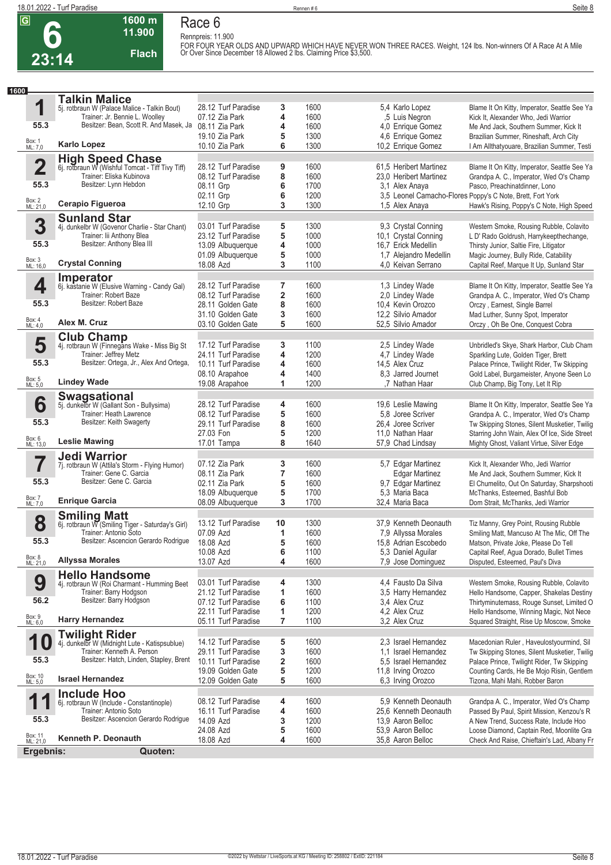**1**

**55.3**

**2**

**55.3**

Box: 1 ML: 7,0

**1600**

**6 23:14**

## **1600 m Race 6**

| .<br>11.900                                      | nau <del>c</del> u<br>Rennpreis: 11.900 |   |      |                        |                                                                                                                                                                                      |
|--------------------------------------------------|-----------------------------------------|---|------|------------------------|--------------------------------------------------------------------------------------------------------------------------------------------------------------------------------------|
| <b>Flach</b><br>14                               |                                         |   |      |                        | FOR FOUR YEAR OLDS AND UPWARD WHICH HAVE NEVER WON THREE RACES. Weight, 124 lbs. Non-winners Of A Race At A Mile<br>Or Over Since December 18 Allowed 2 lbs. Claiming Price \$3,500. |
|                                                  |                                         |   |      |                        |                                                                                                                                                                                      |
| <b>Talkin Malice</b>                             |                                         |   |      |                        |                                                                                                                                                                                      |
| 5j. rotbraun W (Palace Malice - Talkin Bout)     | 28.12 Turf Paradise                     | 3 | 1600 | 5.4 Karlo Lopez        | Blame It On Kitty, Imperator, Seattle See Ya                                                                                                                                         |
| Trainer: Jr. Bennie L. Woolley                   | 07.12 Zia Park                          | 4 | 1600 | .5 Luis Negron         | Kick It, Alexander Who, Jedi Warrior                                                                                                                                                 |
| Besitzer: Bean, Scott R. And Masek, Ja           | 08.11 Zia Park                          | 4 | 1600 | 4.0 Enrique Gomez      | Me And Jack, Southern Summer, Kick It                                                                                                                                                |
|                                                  | 19.10 Zia Park                          | 5 | 1300 | 4.6 Enrique Gomez      | Brazilian Summer, Rineshaft, Arch City                                                                                                                                               |
| <b>Karlo Lopez</b>                               | 10.10 Zia Park                          | 6 | 1300 | 10,2 Enrique Gomez     | I Am Allthatyouare, Brazilian Summer, Testi                                                                                                                                          |
| <b>High Speed Chase</b>                          |                                         |   |      |                        |                                                                                                                                                                                      |
| 6j. rotbraun W (Wishful Tomcat - Tiff Tivy Tiff) | 28.12 Turf Paradise                     | 9 | 1600 | 61,5 Heribert Martinez | Blame It On Kitty, Imperator, Seattle See Ya                                                                                                                                         |
| Trainer: Eliska Kubinova                         | 08.12 Turf Paradise                     | 8 | 1600 | 23.0 Heribert Martinez | Grandpa A. C., Imperator, Wed O's Champ                                                                                                                                              |
| Besitzer: Lynn Hebdon                            | 08.11 Grp                               | 6 | 1700 | 3.1 Alex Anaya         | Pasco, Preachinatdinner, Lono                                                                                                                                                        |
|                                                  | 02.11 Grp                               | 6 | 1200 |                        | 3.5 Leonel Camacho-Flores Poppy's C Note, Brett, Fort York                                                                                                                           |
| Cerapio Figueroa                                 | 12.10 Grp                               | 3 | 1300 | 1,5 Alex Anaya         | Hawk's Rising, Poppy's C Note, High Speed                                                                                                                                            |
| <b>Sunland Star</b>                              |                                         |   |      |                        |                                                                                                                                                                                      |
| 4j. dunkelbr W (Govenor Charlie - Star Chant)    | 03.01 Turf Paradise                     | 5 | 1300 | 9.3 Crystal Conning    | Western Smoke, Rousing Rubble, Colavito                                                                                                                                              |

| Box: 2<br>ML: 21,0  | Cerapio Figueroa                                                          | 02.11 Grp<br>12.10 Grp                     | 6<br>3                  | 1200<br>1300 | 1,5 Alex Anaya                                | 3,5 Leonel Camacho-Flores Poppy's C Note, Brett, Fort York<br>Hawk's Rising, Poppy's C Note, High Speed |
|---------------------|---------------------------------------------------------------------------|--------------------------------------------|-------------------------|--------------|-----------------------------------------------|---------------------------------------------------------------------------------------------------------|
|                     | <b>Sunland Star</b>                                                       |                                            |                         |              |                                               |                                                                                                         |
| 3                   | 4j. dunkelbr W (Govenor Charlie - Star Chant)                             | 03.01 Turf Paradise                        | 5                       | 1300         | 9,3 Crystal Conning                           | Western Smoke, Rousing Rubble, Colavito                                                                 |
|                     | Trainer: lii Anthony Blea                                                 | 23.12 Turf Paradise                        | 5                       | 1000         | 10,1 Crystal Conning                          | L D' Rado Goldrush, Harrykeepthechange,                                                                 |
| 55.3                | Besitzer: Anthony Blea III                                                | 13.09 Albuquerque                          | 4                       | 1000         | 16,7 Erick Medellin                           | Thirsty Junior, Saltie Fire, Litigator                                                                  |
| Box: 3<br>ML: 16,0  | <b>Crystal Conning</b>                                                    | 01.09 Albuquerque                          | 5                       | 1000         | 1,7 Alejandro Medellin                        | Magic Journey, Bully Ride, Catability                                                                   |
|                     |                                                                           | 18.08 Azd                                  | 3                       | 1100         | 4.0 Keivan Serrano                            | Capital Reef, Marque It Up, Sunland Star                                                                |
| 4                   | Imperator<br>6j. kastanie W (Elusive Warning - Candy Gal)                 | 28.12 Turf Paradise                        | $\overline{7}$          | 1600         | 1,3 Lindey Wade                               | Blame It On Kitty, Imperator, Seattle See Ya                                                            |
|                     | Trainer: Robert Baze                                                      | 08.12 Turf Paradise                        | 2                       | 1600         | 2,0 Lindey Wade                               | Grandpa A. C., Imperator, Wed O's Champ                                                                 |
| 55.3                | Besitzer: Robert Baze                                                     | 28.11 Golden Gate                          | 8                       | 1600         | 10.4 Kevin Orozco                             | Orczy, Earnest, Single Barrel                                                                           |
|                     |                                                                           | 31.10 Golden Gate                          | 3                       | 1600         | 12,2 Silvio Amador                            | Mad Luther, Sunny Spot, Imperator                                                                       |
| Box: 4<br>ML: 4,0   | Alex M. Cruz                                                              | 03.10 Golden Gate                          | 5                       | 1600         | 52,5 Silvio Amador                            | Orczy, Oh Be One, Conquest Cobra                                                                        |
|                     | <b>Club Champ</b>                                                         |                                            |                         |              |                                               |                                                                                                         |
| 5                   | 4j. rotbraun W (Finnegans Wake - Miss Big St                              | 17.12 Turf Paradise                        | 3                       | 1100         | 2,5 Lindey Wade                               | Unbridled's Skye, Shark Harbor, Club Cham                                                               |
| 55.3                | Trainer: Jeffrey Metz<br>Besitzer: Ortega, Jr., Alex And Ortega,          | 24.11 Turf Paradise<br>10.11 Turf Paradise | 4<br>4                  | 1200<br>1600 | 4,7 Lindey Wade<br>14,5 Alex Cruz             | Sparkling Lute, Golden Tiger, Brett<br>Palace Prince, Twilight Rider, Tw Skipping                       |
|                     |                                                                           | 08.10 Arapahoe                             | 4                       | 1400         | 8.3 Jarred Journet                            | Gold Label, Burgameister, Anyone Seen Lo                                                                |
| Box: 5<br>ML: 5,0   | <b>Lindey Wade</b>                                                        | 19.08 Arapahoe                             | 1                       | 1200         | .7 Nathan Haar                                | Club Champ, Big Tony, Let It Rip                                                                        |
|                     | <b>Swagsational</b>                                                       |                                            |                         |              |                                               |                                                                                                         |
| 6                   | 5j. dunkelbr W (Gallant Son - Bullysima)                                  | 28.12 Turf Paradise                        | 4                       | 1600         | 19,6 Leslie Mawing                            | Blame It On Kitty, Imperator, Seattle See Ya                                                            |
|                     | Trainer: Heath Lawrence                                                   | 08.12 Turf Paradise                        | 5                       | 1600         | 5.8 Joree Scriver                             | Grandpa A. C., Imperator, Wed O's Champ                                                                 |
| 55.3                | Besitzer: Keith Swagerty                                                  | 29.11 Turf Paradise                        | 8                       | 1600         | 26,4 Joree Scriver                            | Tw Skipping Stones, Silent Musketier, Twilig                                                            |
| Box: 6<br>ML: 13,0  | <b>Leslie Mawing</b>                                                      | 27.03 Fon                                  | 5                       | 1200<br>1640 | 11,0 Nathan Haar                              | Starring John Wain, Alex Of Ice, Side Street                                                            |
|                     |                                                                           | 17.01 Tampa                                | 8                       |              | 57,9 Chad Lindsay                             | Mighty Ghost, Valiant Virtue, Silver Edge                                                               |
| 7                   | <b>Jedi Warrior</b><br>7j. rotbraun W (Attila's Storm - Flying Humor)     | 07.12 Zia Park                             | 3                       | 1600         | 5,7 Edgar Martinez                            | Kick It, Alexander Who, Jedi Warrior                                                                    |
|                     | Trainer: Gene C. Garcia                                                   | 08.11 Zia Park                             | 7                       | 1600         | <b>Edgar Martinez</b>                         | Me And Jack, Southern Summer, Kick It                                                                   |
| 55.3                | Besitzer: Gene C. Garcia                                                  | 02.11 Zia Park                             | 5                       | 1600         | 9,7 Edgar Martinez                            | El Chumelito, Out On Saturday, Sharpshooti                                                              |
|                     |                                                                           | 18.09 Albuquerque                          | 5                       | 1700         | 5,3 Maria Baca                                | McThanks, Esteemed, Bashful Bob                                                                         |
| Box: 7<br>ML: 7,0   | <b>Enrique Garcia</b>                                                     | 08.09 Albuquerque                          | 3                       | 1700         | 32,4 Maria Baca                               | Dom Strait, McThanks, Jedi Warrior                                                                      |
|                     | <b>Smiling Matt</b>                                                       |                                            |                         |              |                                               |                                                                                                         |
| 8                   | 6j. rotbraun W (Smiling Tiger - Saturday's Girl)<br>Trainer: Antonio Soto | 13.12 Turf Paradise<br>07.09 Azd           | 10                      | 1300<br>1600 | 37,9 Kenneth Deonauth                         | Tiz Manny, Grey Point, Rousing Rubble                                                                   |
| 55.3                | Besitzer: Ascencion Gerardo Rodrigue                                      | 18.08 Azd                                  | 1<br>5                  | 1600         | 7,9 Allyssa Morales<br>15,8 Adrian Escobedo   | Smiling Matt, Mancuso At The Mic, Off The<br>Matson, Private Joke, Please Do Tell                       |
|                     |                                                                           | 10.08 Azd                                  | 6                       | 1100         | 5,3 Daniel Aguilar                            | Capital Reef, Agua Dorado, Bullet Times                                                                 |
| Box: 8<br>ML: 21,0  | <b>Allyssa Morales</b>                                                    | 13.07 Azd                                  | 4                       | 1600         | 7,9 Jose Dominguez                            | Disputed, Esteemed, Paul's Diva                                                                         |
|                     | <b>Hello Handsome</b>                                                     |                                            |                         |              |                                               |                                                                                                         |
| 9                   | 4j. rotbraun W (Roi Charmant - Humming Beet                               | 03.01 Turf Paradise                        | 4                       | 1300         | 4.4 Fausto Da Silva                           | Western Smoke, Rousing Rubble, Colavito                                                                 |
| 56.2                | Trainer: Barry Hodgson<br>Besitzer: Barry Hodgson                         | 21.12 Turf Paradise                        | 1                       | 1600         | 3,5 Harry Hernandez                           | Hello Handsome, Capper, Shakelas Destiny                                                                |
|                     |                                                                           | 07.12 Turf Paradise                        | 6                       | 1100<br>1200 | 3.4 Alex Cruz                                 | Thirtyminutemass, Rouge Sunset, Limited O<br>Hello Handsome, Winning Magic, Not Nece                    |
| Box: 9<br>ML: 6,0   | <b>Harry Hernandez</b>                                                    | 22.11 Turf Paradise<br>05.11 Turf Paradise | 1<br>7                  | 1100         | 4.2 Alex Cruz<br>3,2 Alex Cruz                | Squared Straight, Rise Up Moscow, Smoke                                                                 |
|                     |                                                                           |                                            |                         |              |                                               |                                                                                                         |
|                     | Twilight Rider<br>4j. dunkelbr W (Midnight Lute - Katispsublue)           | 14.12 Turf Paradise                        | 5                       | 1600         | 2.3 Israel Hernandez                          | Macedonian Ruler, Haveulostyourmind, Sil                                                                |
|                     | Trainer: Kenneth A. Person                                                | 29.11 Turf Paradise                        | 3                       | 1600         | 1.1 Israel Hernandez                          | Tw Skipping Stones, Silent Musketier, Twilig                                                            |
| 55.3                | Besitzer: Hatch, Linden, Stapley, Brent                                   | 10.11 Turf Paradise                        | $\overline{\mathbf{2}}$ | 1600         | 5,5 Israel Hernandez                          | Palace Prince, Twilight Rider, Tw Skipping                                                              |
|                     | <b>Israel Hernandez</b>                                                   | 19.09 Golden Gate                          | 5                       | 1200         | 11,8 Irving Orozco                            | Counting Cards, He Be Mojo Risin, Gentlem                                                               |
| Box: 10<br>ML: 5,0  |                                                                           | 12.09 Golden Gate                          | 5                       | 1600         | 6,3 Irving Orozco                             | Tizona, Mahi Mahi, Robber Baron                                                                         |
| 4                   | <b>Include Hoo</b>                                                        |                                            |                         |              |                                               |                                                                                                         |
|                     | 6j. rotbraun W (Include - Constantinople)<br>Trainer: Antonio Soto        | 08.12 Turf Paradise<br>16.11 Turf Paradise | 4<br>4                  | 1600<br>1600 | 5.9 Kenneth Deonauth<br>25,6 Kenneth Deonauth | Grandpa A. C., Imperator, Wed O's Champ<br>Passed By Paul, Spirit Mission, Kenzou's R                   |
| 55.3                | Besitzer: Ascencion Gerardo Rodrique                                      | 14.09 Azd                                  | 3                       | 1200         | 13,9 Aaron Belloc                             | A New Trend, Success Rate, Include Hoo                                                                  |
|                     |                                                                           | 24.08 Azd                                  | 5                       | 1600         | 53,9 Aaron Belloc                             | Loose Diamond, Captain Red, Moonlite Gra                                                                |
| Box: 11<br>ML: 21,0 | Kenneth P. Deonauth                                                       | 18.08 Azd                                  | 4                       | 1600         | 35,8 Aaron Belloc                             | Check And Raise, Chieftain's Lad, Albany Fr                                                             |
| Ergebnis:           | Quoten:                                                                   |                                            |                         |              |                                               |                                                                                                         |
|                     |                                                                           |                                            |                         |              |                                               |                                                                                                         |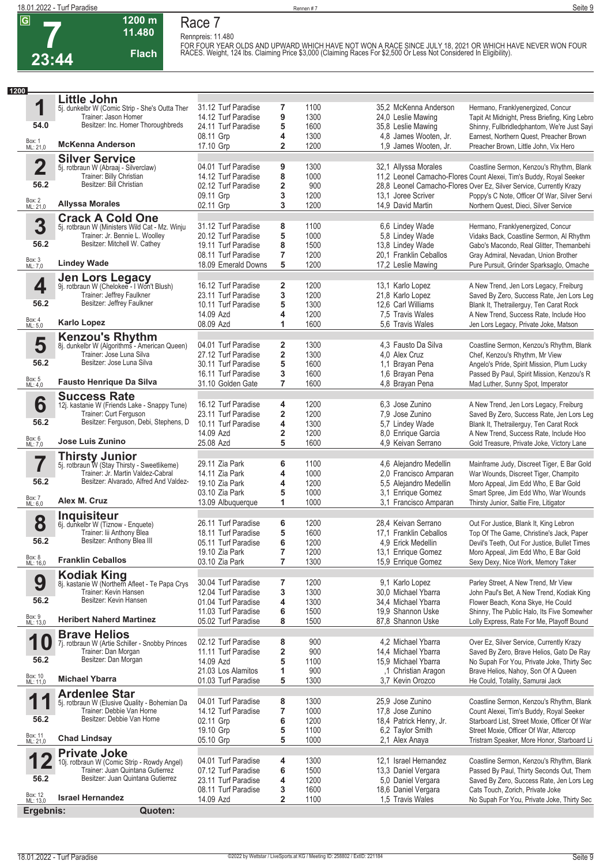**Rennpreis: 11.480**



# **Race 7**

**1200 m 11.480** 

**Flach**

FOR FOUR YEAR OLDS AND UPWARD WHICH HAVE NOT WON A RACE SINCE JULY 18, 2021 OR WHICH HAVE NEVER WON FOUR<br>RACES. Weight, 124 Ibs. Claiming Price \$3,000 (Claiming Races For \$2,500 Or Less Not Considered In Eligibility).

| 1200                |                                                                            |                                            |                         |              |                                         |                                                                                     |
|---------------------|----------------------------------------------------------------------------|--------------------------------------------|-------------------------|--------------|-----------------------------------------|-------------------------------------------------------------------------------------|
|                     | <b>Little John</b>                                                         |                                            |                         |              |                                         |                                                                                     |
| 1                   | 5j. dunkelbr W (Comic Strip - She's Outta Ther                             | 31.12 Turf Paradise                        | 7                       | 1100         | 35,2 McKenna Anderson                   | Hermano, Franklyenergized, Concur                                                   |
|                     | Trainer: Jason Homer                                                       | 14.12 Turf Paradise                        | 9                       | 1300         | 24,0 Leslie Mawing                      | Tapit At Midnight, Press Briefing, King Lebro                                       |
| 54.0                | Besitzer: Inc. Homer Thoroughbreds                                         | 24.11 Turf Paradise                        | 5                       | 1600         | 35,8 Leslie Mawing                      | Shinny, Fullbridledphantom, We're Just Sayi                                         |
|                     |                                                                            | 08.11 Grp                                  | 4                       | 1300         | 4.8 James Wooten, Jr.                   | Earnest, Northern Quest, Preacher Brown                                             |
| Box: 1<br>ML: 21,0  | <b>McKenna Anderson</b>                                                    | 17.10 Grp                                  | $\overline{\mathbf{2}}$ | 1200         | 1,9 James Wooten, Jr.                   | Preacher Brown, Little John, Vix Hero                                               |
|                     | <b>Silver Service</b>                                                      |                                            |                         |              |                                         |                                                                                     |
| $\overline{2}$      | 5j. rotbraun W (Abraaj - Silverclaw)                                       | 04.01 Turf Paradise                        | 9                       | 1300         | 32,1 Allyssa Morales                    | Coastline Sermon, Kenzou's Rhythm, Blank                                            |
|                     | Trainer: Billy Christian                                                   | 14.12 Turf Paradise                        | 8                       | 1000         |                                         | 11,2 Leonel Camacho-Flores Count Alexei, Tim's Buddy, Royal Seeker                  |
| 56.2                | Besitzer: Bill Christian                                                   | 02.12 Turf Paradise                        | $\overline{\mathbf{2}}$ | 900          |                                         | 28,8 Leonel Camacho-Flores Over Ez, Silver Service, Currently Krazy                 |
|                     |                                                                            | 09.11 Grp                                  | 3                       | 1200         | 13.1 Joree Scriver                      | Poppy's C Note, Officer Of War, Silver Servi                                        |
| Box: 2<br>ML: 21,0  | <b>Allyssa Morales</b>                                                     | 02.11 Grp                                  | 3                       | 1200         | 14,9 David Martin                       | Northern Quest, Dieci, Silver Service                                               |
|                     | <b>Crack A Cold One</b>                                                    |                                            |                         |              |                                         |                                                                                     |
| 3                   | 5j. rotbraun W (Ministers Wild Cat - Mz. Winju                             | 31.12 Turf Paradise                        | 8                       | 1100         | 6,6 Lindey Wade                         | Hermano, Franklyenergized, Concur                                                   |
|                     | Trainer: Jr. Bennie L. Woolley                                             | 20.12 Turf Paradise                        | 5                       | 1000         | 5,8 Lindey Wade                         | Vidaks Back, Coastline Sermon, Al Rhythm                                            |
| 56.2                | Besitzer: Mitchell W. Cathey                                               | 19.11 Turf Paradise                        | 8                       | 1500         | 13,8 Lindey Wade                        | Gabo's Macondo, Real Glitter, Themanbehi                                            |
|                     |                                                                            | 08.11 Turf Paradise                        | 7                       | 1200         | 20.1 Franklin Ceballos                  | Gray Admiral, Nevadan, Union Brother                                                |
| Box: 3<br>ML: 7,0   | <b>Lindey Wade</b>                                                         | 18.09 Emerald Downs                        | 5                       | 1200         | 17,2 Leslie Mawing                      | Pure Pursuit, Grinder Sparksaglo, Omache                                            |
|                     |                                                                            |                                            |                         |              |                                         |                                                                                     |
| 4                   | <b>Jen Lors Legacy</b><br>9j. rotbraun W (Chelokee - I Won't Blush)        | 16.12 Turf Paradise                        | 2                       | 1200         | 13,1 Karlo Lopez                        | A New Trend, Jen Lors Legacy, Freiburg                                              |
|                     | Trainer: Jeffrey Faulkner                                                  | 23.11 Turf Paradise                        | 3                       | 1200         | 21,8 Karlo Lopez                        | Saved By Zero, Success Rate, Jen Lors Leg                                           |
| 56.2                | Besitzer: Jeffrey Faulkner                                                 | 10.11 Turf Paradise                        | 5                       | 1300         | 12,6 Carl Williams                      | Blank It, Thetrailerguy, Ten Carat Rock                                             |
|                     |                                                                            | 14.09 Azd                                  | 4                       | 1200         | 7.5 Travis Wales                        | A New Trend, Success Rate, Include Hoo                                              |
| Box: 4<br>ML: 5,0   | <b>Karlo Lopez</b>                                                         | 08.09 Azd                                  | 1                       | 1600         | 5.6 Travis Wales                        | Jen Lors Legacy, Private Joke, Matson                                               |
|                     | <b>Kenzou's Rhythm</b>                                                     |                                            |                         |              |                                         |                                                                                     |
| 5                   | 8j. dunkelbr W (Algorithms - American Queen)                               | 04.01 Turf Paradise                        | 2                       | 1300         | 4.3 Fausto Da Silva                     | Coastline Sermon, Kenzou's Rhythm, Blank                                            |
|                     | Trainer: Jose Luna Silva                                                   | 27.12 Turf Paradise                        | $\overline{\mathbf{2}}$ | 1300         | 4,0 Alex Cruz                           | Chef, Kenzou's Rhythm, Mr View                                                      |
| 56.2                | Besitzer: Jose Luna Silva                                                  | 30.11 Turf Paradise                        | 5                       | 1600         | 1,1 Brayan Pena                         | Angelo's Pride, Spirit Mission, Plum Lucky                                          |
|                     |                                                                            | 16.11 Turf Paradise                        | 3                       | 1600         | 1,6 Brayan Pena                         | Passed By Paul, Spirit Mission, Kenzou's R                                          |
| Box: 5<br>ML: 4,0   | <b>Fausto Henrique Da Silva</b>                                            | 31.10 Golden Gate                          | 7                       | 1600         | 4,8 Brayan Pena                         | Mad Luther, Sunny Spot, Imperator                                                   |
|                     | <b>Success Rate</b>                                                        |                                            |                         |              |                                         |                                                                                     |
| 6                   | 12j. kastanie W (Friends Lake - Snappy Tune)                               | 16.12 Turf Paradise                        | 4                       | 1200         | 6,3 Jose Zunino                         | A New Trend, Jen Lors Legacy, Freiburg                                              |
|                     | Trainer: Curt Ferguson                                                     | 23.11 Turf Paradise                        | $\overline{\mathbf{2}}$ | 1200         | 7.9 Jose Zunino                         | Saved By Zero, Success Rate, Jen Lors Leg                                           |
| 56.2                | Besitzer: Ferguson, Debi, Stephens, D                                      | 10.11 Turf Paradise                        | 4                       | 1300         | 5,7 Lindey Wade                         | Blank It, Thetrailerguy, Ten Carat Rock                                             |
|                     |                                                                            | 14.09 Azd                                  | 2                       | 1200         | 8,0 Enrique Garcia                      | A New Trend, Success Rate, Include Hoo                                              |
| Box: 6<br>ML: 7,0   | Jose Luis Zunino                                                           | 25.08 Azd                                  | 5                       | 1600         | 4,9 Keivan Serrano                      | Gold Treasure, Private Joke, Victory Lane                                           |
|                     | <b>Thirsty Junior</b>                                                      |                                            |                         |              |                                         |                                                                                     |
| 7                   | 5j. rotbraun W (Stay Thirsty - Sweetlikeme)                                | 29.11 Zia Park                             | 6                       | 1100         | 4,6 Alejandro Medellin                  | Mainframe Judy, Discreet Tiger, E Bar Gold                                          |
|                     | Trainer: Jr. Martin Valdez-Cabral                                          | 14.11 Zia Park                             | 4                       | 1000         | 2,0 Francisco Amparan                   | War Wounds, Discreet Tiger, Champito                                                |
| 56.2                | Besitzer: Alvarado, Alfred And Valdez-                                     | 19.10 Zia Park                             | 4                       | 1200         | 5,5 Alejandro Medellin                  | Moro Appeal, Jim Edd Who, E Bar Gold                                                |
| Box: 7              | Alex M. Cruz                                                               | 03.10 Zia Park                             | 5                       | 1000         | 3.1 Enrique Gomez                       | Smart Spree, Jim Edd Who, War Wounds                                                |
| ML: 6,0             |                                                                            | 13.09 Albuquerque                          | 1                       | 1000         | 3.1 Francisco Amparan                   | Thirsty Junior, Saltie Fire, Litigator                                              |
|                     | Inquisiteur                                                                |                                            |                         |              |                                         |                                                                                     |
| 8                   | 6j. dunkelbr W (Tiznow - Enquete)                                          | 26.11 Turf Paradise                        | 6                       | 1200         | 28,4 Keivan Serrano                     | Out For Justice, Blank It, King Lebron                                              |
|                     | Trainer: lii Anthony Blea                                                  | 18.11 Turf Paradise                        | 5                       | 1600         | 17.1 Franklin Ceballos                  | Top Of The Game, Christine's Jack, Paper                                            |
| 56.2                | Besitzer: Anthony Blea III                                                 | 05.11 Turf Paradise                        | 6                       | 1200         | 4,9 Erick Medellin                      | Devil's Teeth, Out For Justice, Bullet Times                                        |
|                     | <b>Franklin Ceballos</b>                                                   | 19.10 Zia Park                             | 7                       | 1200         | 13,1 Enrique Gomez                      | Moro Appeal, Jim Edd Who, E Bar Gold                                                |
| Box: 8<br>ML: 16,0  |                                                                            | 03.10 Zia Park                             | 7                       | 1300         | 15,9 Enrique Gomez                      | Sexy Dexy, Nice Work, Memory Taker                                                  |
|                     | <b>Kodiak King</b>                                                         |                                            |                         |              |                                         |                                                                                     |
| 9                   | 8j. kastanie W (Northern Afleet - Te Papa Crys                             | 30.04 Turf Paradise                        | 7                       | 1200         | 9,1 Karlo Lopez                         | Parley Street, A New Trend, Mr View                                                 |
| 56.2                | Trainer: Kevin Hansen<br>Besitzer: Kevin Hansen                            | 12.04 Turf Paradise                        | 3                       | 1300         | 30,0 Michael Ybarra                     | John Paul's Bet, A New Trend, Kodiak King                                           |
|                     |                                                                            | 01.04 Turf Paradise                        | 4                       | 1300         | 34,4 Michael Ybarra                     | Flower Beach, Kona Skye, He Could                                                   |
| Box: 9<br>ML: 13,0  | <b>Heribert Naherd Martinez</b>                                            | 11.03 Turf Paradise<br>05.02 Turf Paradise | 6<br>8                  | 1500<br>1500 | 19.9 Shannon Uske<br>87,8 Shannon Uske  | Shinny, The Public Halo, Its Five Somewher                                          |
|                     |                                                                            |                                            |                         |              |                                         | Lolly Express, Rate For Me, Playoff Bound                                           |
|                     | <b>Brave Helios</b>                                                        |                                            |                         |              |                                         |                                                                                     |
| 1                   | 7j. rotbraun W (Artie Schiller - Snobby Princes<br>Trainer: Dan Morgan     | 02.12 Turf Paradise<br>11.11 Turf Paradise | 8                       | 900          | 4,2 Michael Ybarra                      | Over Ez, Silver Service, Currently Krazy                                            |
| 56.2                | Besitzer: Dan Morgan                                                       | 14.09 Azd                                  | 2<br>5                  | 900          | 14,4 Michael Ybarra                     | Saved By Zero, Brave Helios, Gato De Ray                                            |
|                     |                                                                            | 21.03 Los Alamitos                         |                         | 1100         | 15,9 Michael Ybarra                     | No Supah For You, Private Joke, Thirty Sec                                          |
| Box: 10<br>ML: 11,0 | <b>Michael Ybarra</b>                                                      | 01.03 Turf Paradise                        | 1<br>5                  | 900<br>1300  | ,1 Christian Aragon<br>3,7 Kevin Orozco | Brave Helios, Nahoy, Son Of A Queen                                                 |
|                     |                                                                            |                                            |                         |              |                                         | He Could, Totality, Samurai Jack                                                    |
|                     | <b>Ardenlee Star</b>                                                       |                                            |                         |              |                                         |                                                                                     |
| 1                   | 5j. rotbraun W (Elusive Quality - Bohemian Da<br>Trainer: Debbie Van Horne | 04.01 Turf Paradise<br>14.12 Turf Paradise | 8<br>$\overline{7}$     | 1300<br>1000 | 25,9 Jose Zunino<br>17,8 Jose Zunino    | Coastline Sermon, Kenzou's Rhythm, Blank<br>Count Alexei, Tim's Buddy, Royal Seeker |
| 56.2                | Besitzer: Debbie Van Horne                                                 | 02.11 Grp                                  | 6                       | 1200         | 18,4 Patrick Henry, Jr.                 | Starboard List, Street Moxie, Officer Of War                                        |
|                     |                                                                            | 19.10 Grp                                  | 5                       | 1100         | 6,2 Taylor Smith                        | Street Moxie, Officer Of War, Attercop                                              |
| Box: 11<br>ML: 21,0 | <b>Chad Lindsay</b>                                                        | 05.10 Grp                                  | 5                       | 1000         | 2,1 Alex Anaya                          | Tristram Speaker, More Honor, Starboard Li                                          |
|                     |                                                                            |                                            |                         |              |                                         |                                                                                     |
| 1                   | <b>Private Joke</b><br>10j. rotbraun W (Comic Strip - Rowdy Angel)         | 04.01 Turf Paradise                        | 4                       | 1300         | 12,1 Israel Hernandez                   | Coastline Sermon, Kenzou's Rhythm, Blank                                            |
| ◢                   | Trainer: Juan Quintana Gutierrez                                           | 07.12 Turf Paradise                        | 6                       | 1500         | 13,3 Daniel Vergara                     | Passed By Paul, Thirty Seconds Out, Them                                            |
| 56.2                | Besitzer: Juan Quintana Gutierrez                                          | 23.11 Turf Paradise                        | 4                       | 1200         | 5,0 Daniel Vergara                      | Saved By Zero, Success Rate, Jen Lors Leg                                           |
|                     |                                                                            | 08.11 Turf Paradise                        | 3                       | 1600         | 18,6 Daniel Vergara                     | Cats Touch, Zorich, Private Joke                                                    |
| Box: 12<br>ML: 13,0 | <b>Israel Hernandez</b>                                                    | 14.09 Azd                                  | $\overline{\mathbf{2}}$ | 1100         | 1,5 Travis Wales                        | No Supah For You, Private Joke, Thirty Sec                                          |
| Ergebnis:           | Quoten:                                                                    |                                            |                         |              |                                         |                                                                                     |
|                     |                                                                            |                                            |                         |              |                                         |                                                                                     |